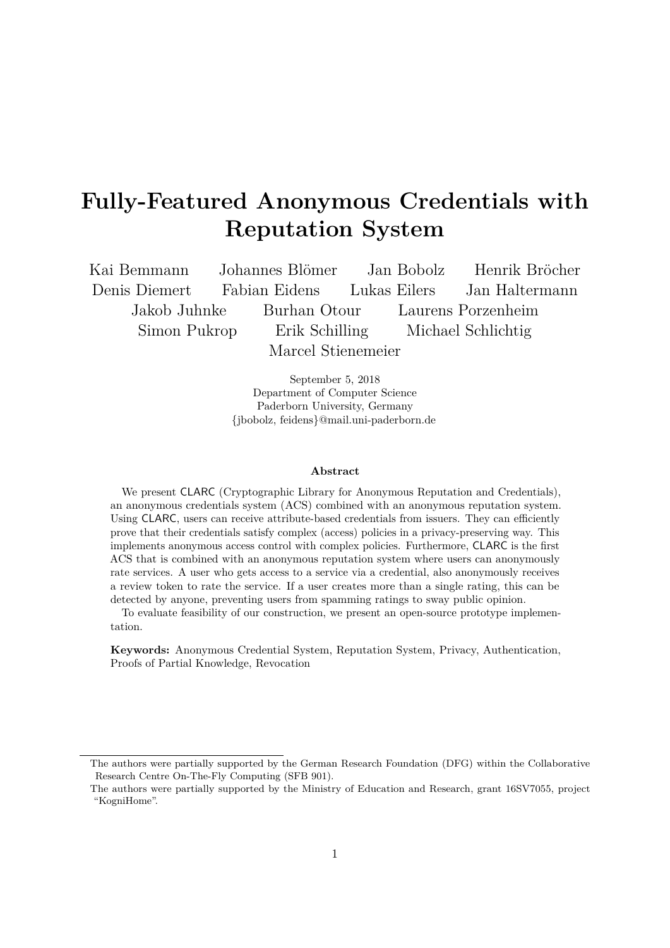# **Fully-Featured Anonymous Credentials with Reputation System**

Kai Bemmann Johannes Blömer Jan Bobolz Henrik Bröcher Denis Diemert Fabian Eidens Lukas Eilers Jan Haltermann Jakob Juhnke Burhan Otour Laurens Porzenheim Simon Pukrop Erik Schilling Michael Schlichtig Marcel Stienemeier

> September 5, 2018 Department of Computer Science Paderborn University, Germany [{jbobolz,](mailto:jbobolz@mail.uni-paderborn.de) [feidens}](mailto:feidens@mail.uni-paderborn.de)@mail.uni-paderborn.de

#### **Abstract**

We present CLARC (Cryptographic Library for Anonymous Reputation and Credentials), an anonymous credentials system (ACS) combined with an anonymous reputation system. Using CLARC, users can receive attribute-based credentials from issuers. They can efficiently prove that their credentials satisfy complex (access) policies in a privacy-preserving way. This implements anonymous access control with complex policies. Furthermore, CLARC is the first ACS that is combined with an anonymous reputation system where users can anonymously rate services. A user who gets access to a service via a credential, also anonymously receives a review token to rate the service. If a user creates more than a single rating, this can be detected by anyone, preventing users from spamming ratings to sway public opinion.

To evaluate feasibility of our construction, we present an open-source prototype implementation.

**Keywords:** Anonymous Credential System, Reputation System, Privacy, Authentication, Proofs of Partial Knowledge, Revocation

The authors were partially supported by the German Research Foundation (DFG) within the Collaborative Research Centre On-The-Fly Computing (SFB 901).

The authors were partially supported by the Ministry of Education and Research, grant 16SV7055, project "KogniHome".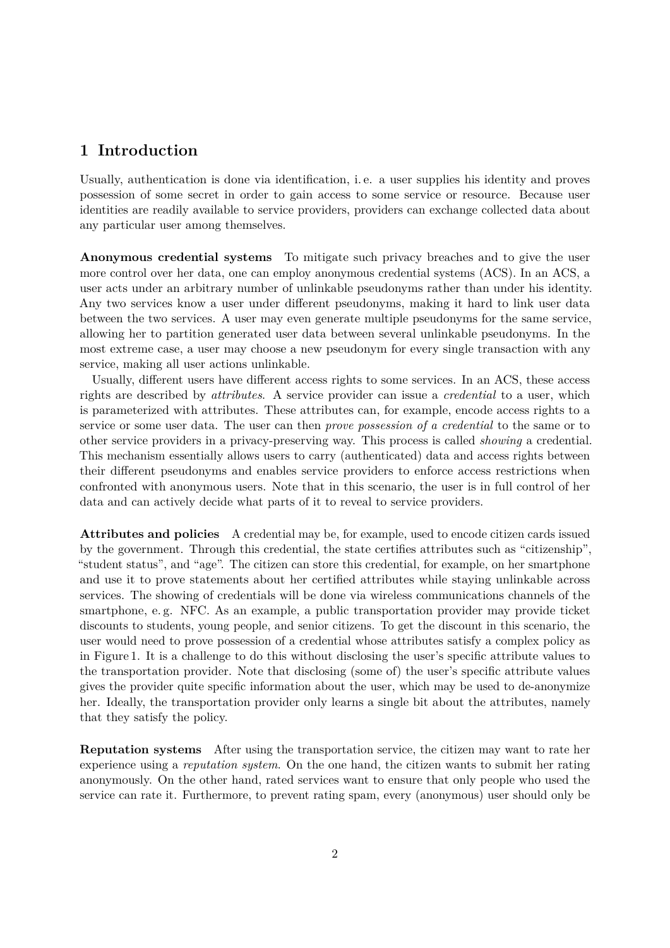# **1 Introduction**

Usually, authentication is done via identification, i. e. a user supplies his identity and proves possession of some secret in order to gain access to some service or resource. Because user identities are readily available to service providers, providers can exchange collected data about any particular user among themselves.

**Anonymous credential systems** To mitigate such privacy breaches and to give the user more control over her data, one can employ anonymous credential systems (ACS). In an ACS, a user acts under an arbitrary number of unlinkable pseudonyms rather than under his identity. Any two services know a user under different pseudonyms, making it hard to link user data between the two services. A user may even generate multiple pseudonyms for the same service, allowing her to partition generated user data between several unlinkable pseudonyms. In the most extreme case, a user may choose a new pseudonym for every single transaction with any service, making all user actions unlinkable.

Usually, different users have different access rights to some services. In an ACS, these access rights are described by *attributes*. A service provider can issue a *credential* to a user, which is parameterized with attributes. These attributes can, for example, encode access rights to a service or some user data. The user can then *prove possession of a credential* to the same or to other service providers in a privacy-preserving way. This process is called *showing* a credential. This mechanism essentially allows users to carry (authenticated) data and access rights between their different pseudonyms and enables service providers to enforce access restrictions when confronted with anonymous users. Note that in this scenario, the user is in full control of her data and can actively decide what parts of it to reveal to service providers.

<span id="page-1-0"></span>**Attributes and policies** A credential may be, for example, used to encode citizen cards issued by the government. Through this credential, the state certifies attributes such as "citizenship", "student status", and "age". The citizen can store this credential, for example, on her smartphone and use it to prove statements about her certified attributes while staying unlinkable across services. The showing of credentials will be done via wireless communications channels of the smartphone, e. g. NFC. As an example, a public transportation provider may provide ticket discounts to students, young people, and senior citizens. To get the discount in this scenario, the user would need to prove possession of a credential whose attributes satisfy a complex policy as in Figure [1.](#page-2-0) It is a challenge to do this without disclosing the user's specific attribute values to the transportation provider. Note that disclosing (some of) the user's specific attribute values gives the provider quite specific information about the user, which may be used to de-anonymize her. Ideally, the transportation provider only learns a single bit about the attributes, namely that they satisfy the policy.

**Reputation systems** After using the transportation service, the citizen may want to rate her experience using a *reputation system*. On the one hand, the citizen wants to submit her rating anonymously. On the other hand, rated services want to ensure that only people who used the service can rate it. Furthermore, to prevent rating spam, every (anonymous) user should only be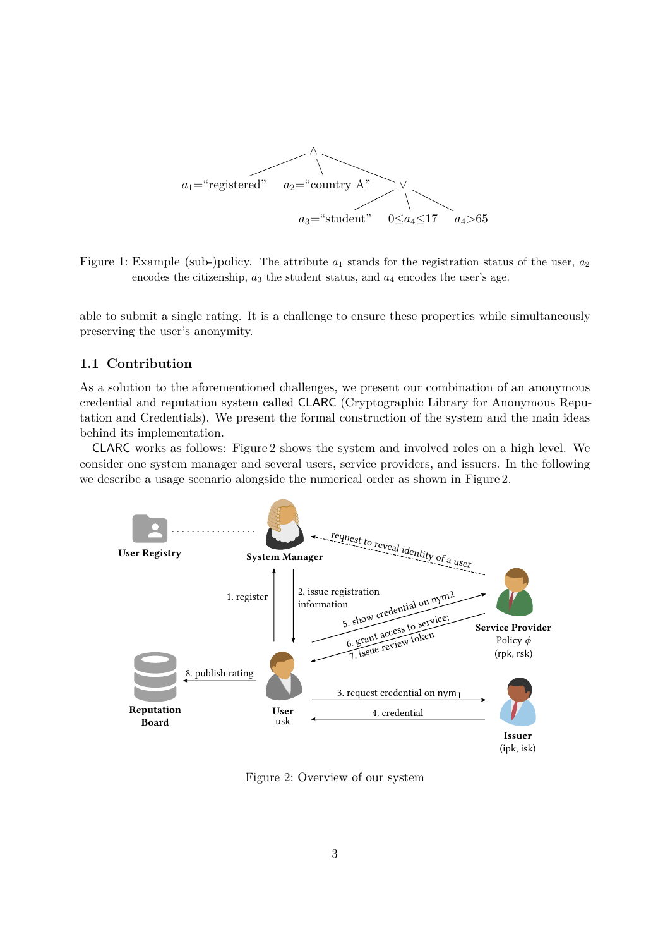

<span id="page-2-0"></span>Figure 1: Example (sub-)policy. The attribute  $a_1$  stands for the registration status of the user,  $a_2$ encodes the citizenship,  $a_3$  the student status, and  $a_4$  encodes the user's age.

able to submit a single rating. It is a challenge to ensure these properties while simultaneously preserving the user's anonymity.

## <span id="page-2-2"></span>**1.1 Contribution**

As a solution to the aforementioned challenges, we present our combination of an anonymous credential and reputation system called CLARC (Cryptographic Library for Anonymous Reputation and Credentials). We present the formal construction of the system and the main ideas behind its implementation.

CLARC works as follows: Figure [2](#page-2-1) shows the system and involved roles on a high level. We consider one system manager and several users, service providers, and issuers. In the following we describe a usage scenario alongside the numerical order as shown in Figure [2.](#page-2-1)



<span id="page-2-1"></span>Figure 2: Overview of our system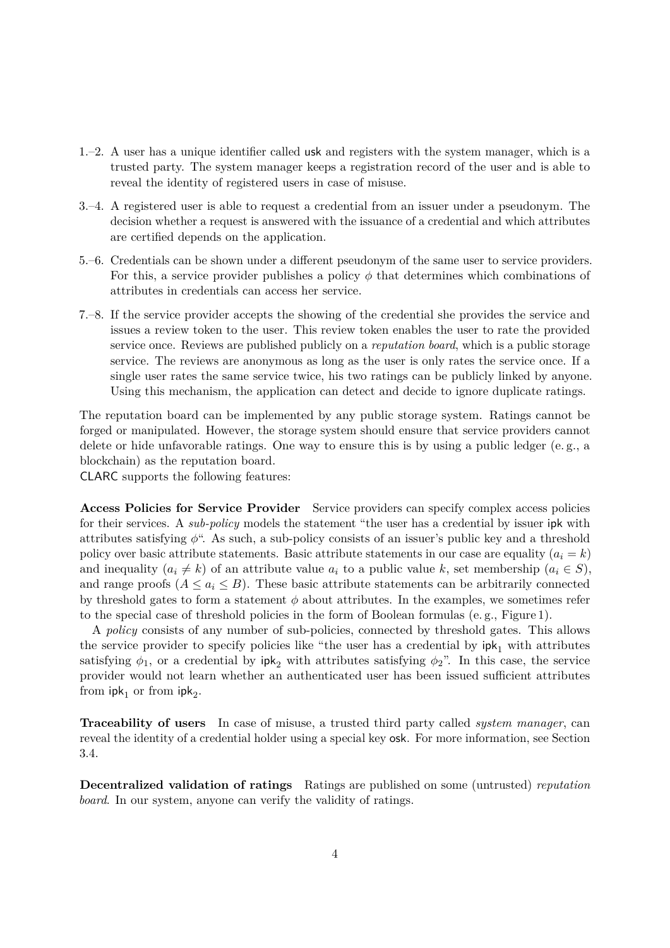- 1.–2. A user has a unique identifier called usk and registers with the system manager, which is a trusted party. The system manager keeps a registration record of the user and is able to reveal the identity of registered users in case of misuse.
- 3.–4. A registered user is able to request a credential from an issuer under a pseudonym. The decision whether a request is answered with the issuance of a credential and which attributes are certified depends on the application.
- 5.–6. Credentials can be shown under a different pseudonym of the same user to service providers. For this, a service provider publishes a policy  $\phi$  that determines which combinations of attributes in credentials can access her service.
- 7.–8. If the service provider accepts the showing of the credential she provides the service and issues a review token to the user. This review token enables the user to rate the provided service once. Reviews are published publicly on a *reputation board*, which is a public storage service. The reviews are anonymous as long as the user is only rates the service once. If a single user rates the same service twice, his two ratings can be publicly linked by anyone. Using this mechanism, the application can detect and decide to ignore duplicate ratings.

The reputation board can be implemented by any public storage system. Ratings cannot be forged or manipulated. However, the storage system should ensure that service providers cannot delete or hide unfavorable ratings. One way to ensure this is by using a public ledger (e. g., a blockchain) as the reputation board.

CLARC supports the following features:

**Access Policies for Service Provider** Service providers can specify complex access policies for their services. A *sub-policy* models the statement "the user has a credential by issuer ipk with attributes satisfying *φ*". As such, a sub-policy consists of an issuer's public key and a threshold policy over basic attribute statements. Basic attribute statements in our case are equality  $(a_i = k)$ and inequality  $(a_i \neq k)$  of an attribute value  $a_i$  to a public value k, set membership  $(a_i \in S)$ , and range proofs  $(A \le a_i \le B)$ . These basic attribute statements can be arbitrarily connected by threshold gates to form a statement *φ* about attributes. In the examples, we sometimes refer to the special case of threshold policies in the form of Boolean formulas (e. g., Figure [1\)](#page-2-0).

A *policy* consists of any number of sub-policies, connected by threshold gates. This allows the service provider to specify policies like "the user has a credential by  $ipk_1$  with attributes satisfying  $\phi_1$ , or a credential by  $ipk_2$  with attributes satisfying  $\phi_2$ ". In this case, the service provider would not learn whether an authenticated user has been issued sufficient attributes from  $ipk_1$  or from  $ipk_2$ .

**Traceability of users** In case of misuse, a trusted third party called *system manager*, can reveal the identity of a credential holder using a special key osk. For more information, see Section [3.4.](#page-11-0)

**Decentralized validation of ratings** Ratings are published on some (untrusted) *reputation board*. In our system, anyone can verify the validity of ratings.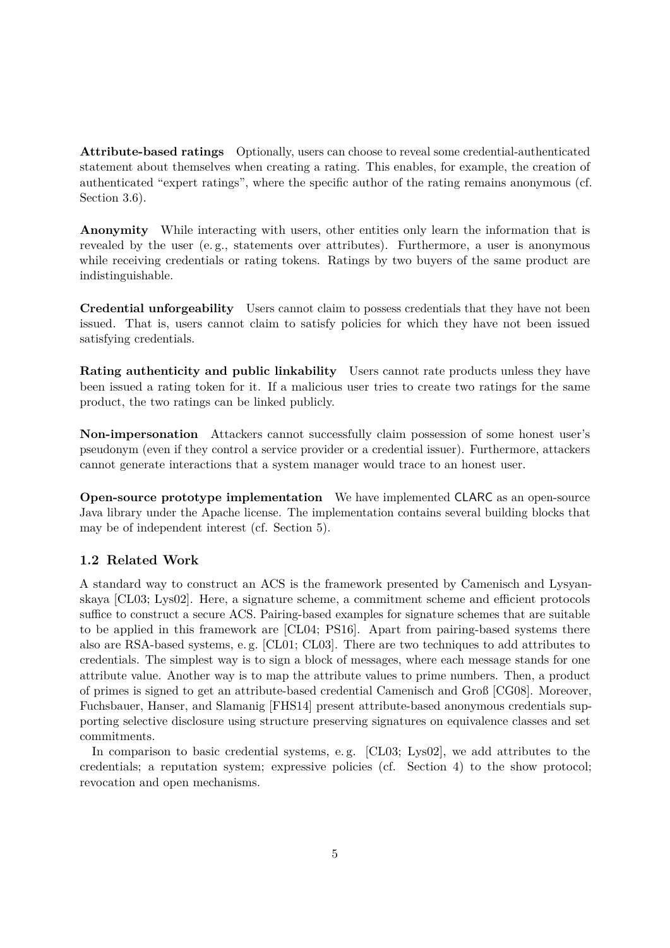**Attribute-based ratings** Optionally, users can choose to reveal some credential-authenticated statement about themselves when creating a rating. This enables, for example, the creation of authenticated "expert ratings", where the specific author of the rating remains anonymous (cf. Section [3.6\)](#page-12-0).

**Anonymity** While interacting with users, other entities only learn the information that is revealed by the user (e.g., statements over attributes). Furthermore, a user is anonymous while receiving credentials or rating tokens. Ratings by two buyers of the same product are indistinguishable.

**Credential unforgeability** Users cannot claim to possess credentials that they have not been issued. That is, users cannot claim to satisfy policies for which they have not been issued satisfying credentials.

**Rating authenticity and public linkability** Users cannot rate products unless they have been issued a rating token for it. If a malicious user tries to create two ratings for the same product, the two ratings can be linked publicly.

**Non-impersonation** Attackers cannot successfully claim possession of some honest user's pseudonym (even if they control a service provider or a credential issuer). Furthermore, attackers cannot generate interactions that a system manager would trace to an honest user.

**Open-source prototype implementation** We have implemented CLARC as an open-source Java library under the Apache license. The implementation contains several building blocks that may be of independent interest (cf. Section [5\)](#page-16-0).

## **1.2 Related Work**

A standard way to construct an ACS is the framework presented by Camenisch and Lysyanskaya [\[CL03;](#page-19-0) [Lys02\]](#page-20-0). Here, a signature scheme, a commitment scheme and efficient protocols suffice to construct a secure ACS. Pairing-based examples for signature schemes that are suitable to be applied in this framework are [\[CL04;](#page-19-1) [PS16\]](#page-20-1). Apart from pairing-based systems there also are RSA-based systems, e. g. [\[CL01;](#page-19-2) [CL03\]](#page-19-0). There are two techniques to add attributes to credentials. The simplest way is to sign a block of messages, where each message stands for one attribute value. Another way is to map the attribute values to prime numbers. Then, a product of primes is signed to get an attribute-based credential Camenisch and Groß [\[CG08\]](#page-18-0). Moreover, Fuchsbauer, Hanser, and Slamanig [\[FHS14\]](#page-19-3) present attribute-based anonymous credentials supporting selective disclosure using structure preserving signatures on equivalence classes and set commitments.

In comparison to basic credential systems, e.g. [\[CL03;](#page-19-0) [Lys02\]](#page-20-0), we add attributes to the credentials; a reputation system; expressive policies (cf. Section [4\)](#page-13-0) to the show protocol; revocation and open mechanisms.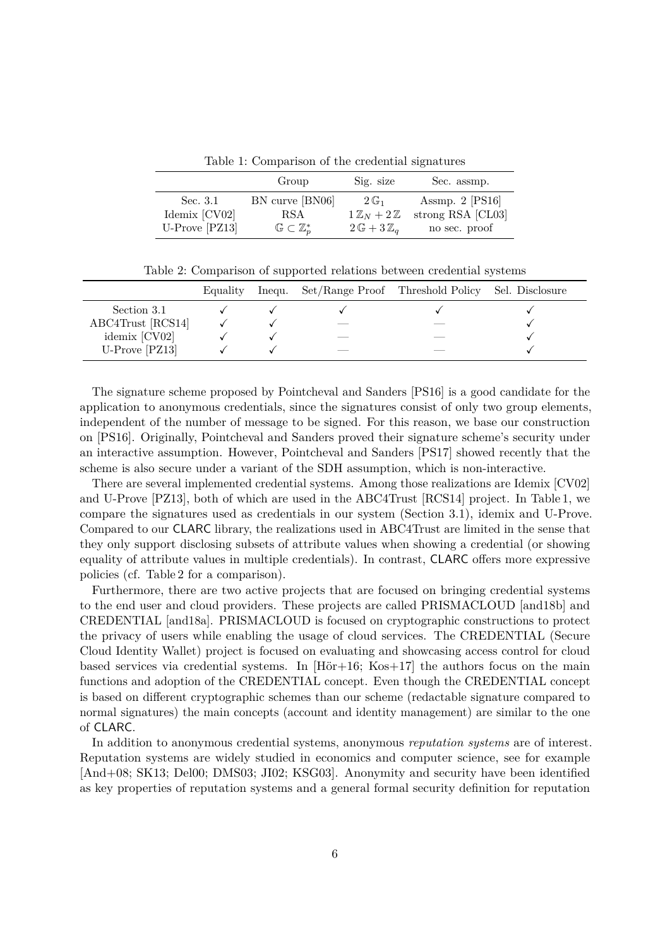<span id="page-5-0"></span>Table 1: Comparison of the credential signatures

|                      | Group                                 | Sig. size                   | Sec. assmp.       |
|----------------------|---------------------------------------|-----------------------------|-------------------|
| Sec. 3.1             | BN curve [BN06]                       | $2\mathbb{G}_1$             | Assmp. $2$ [PS16] |
| Idemix [CV02]        | RSA                                   | $1\mathbb{Z}_N+2\mathbb{Z}$ | strong RSA [CL03] |
| U-Prove $[$ PZ13 $]$ | $\mathbb{G}\subset\mathbb{Z}_{n}^{*}$ | $2\mathbb{G}+3\mathbb{Z}_a$ | no sec. proof     |

<span id="page-5-1"></span>Table 2: Comparison of supported relations between credential systems

|                    | Equality | lnegu. | Set/Range Proof Threshold Policy Sel. Disclosure |  |
|--------------------|----------|--------|--------------------------------------------------|--|
| Section 3.1        |          |        |                                                  |  |
| ABC4Trust [RCS14]  |          |        |                                                  |  |
| idemix $[CV02]$    |          |        | ___                                              |  |
| U-Prove $[ PZ13 ]$ |          |        | ____                                             |  |

The signature scheme proposed by Pointcheval and Sanders [\[PS16\]](#page-20-1) is a good candidate for the application to anonymous credentials, since the signatures consist of only two group elements, independent of the number of message to be signed. For this reason, we base our construction on [\[PS16\]](#page-20-1). Originally, Pointcheval and Sanders proved their signature scheme's security under an interactive assumption. However, Pointcheval and Sanders [\[PS17\]](#page-20-4) showed recently that the scheme is also secure under a variant of the SDH assumption, which is non-interactive.

There are several implemented credential systems. Among those realizations are Idemix [\[CV02\]](#page-19-4) and U-Prove [\[PZ13\]](#page-20-2), both of which are used in the ABC4Trust [\[RCS14\]](#page-20-3) project. In Table [1,](#page-5-0) we compare the signatures used as credentials in our system (Section [3.1\)](#page-6-0), idemix and U-Prove. Compared to our CLARC library, the realizations used in ABC4Trust are limited in the sense that they only support disclosing subsets of attribute values when showing a credential (or showing equality of attribute values in multiple credentials). In contrast, CLARC offers more expressive policies (cf. Table [2](#page-5-1) for a comparison).

Furthermore, there are two active projects that are focused on bringing credential systems to the end user and cloud providers. These projects are called PRISMACLOUD [\[and18b\]](#page-18-2) and CREDENTIAL [\[and18a\]](#page-17-0). PRISMACLOUD is focused on cryptographic constructions to protect the privacy of users while enabling the usage of cloud services. The CREDENTIAL (Secure Cloud Identity Wallet) project is focused on evaluating and showcasing access control for cloud based services via credential systems. In  $[H\ddot{o}r+16; Kos+17]$  $[H\ddot{o}r+16; Kos+17]$  the authors focus on the main functions and adoption of the CREDENTIAL concept. Even though the CREDENTIAL concept is based on different cryptographic schemes than our scheme (redactable signature compared to normal signatures) the main concepts (account and identity management) are similar to the one of CLARC.

In addition to anonymous credential systems, anonymous *reputation systems* are of interest. Reputation systems are widely studied in economics and computer science, see for example [\[And+08;](#page-18-3) [SK13;](#page-20-7) [Del00;](#page-19-5) [DMS03;](#page-19-6) [JI02;](#page-20-8) [KSG03\]](#page-20-9). Anonymity and security have been identified as key properties of reputation systems and a general formal security definition for reputation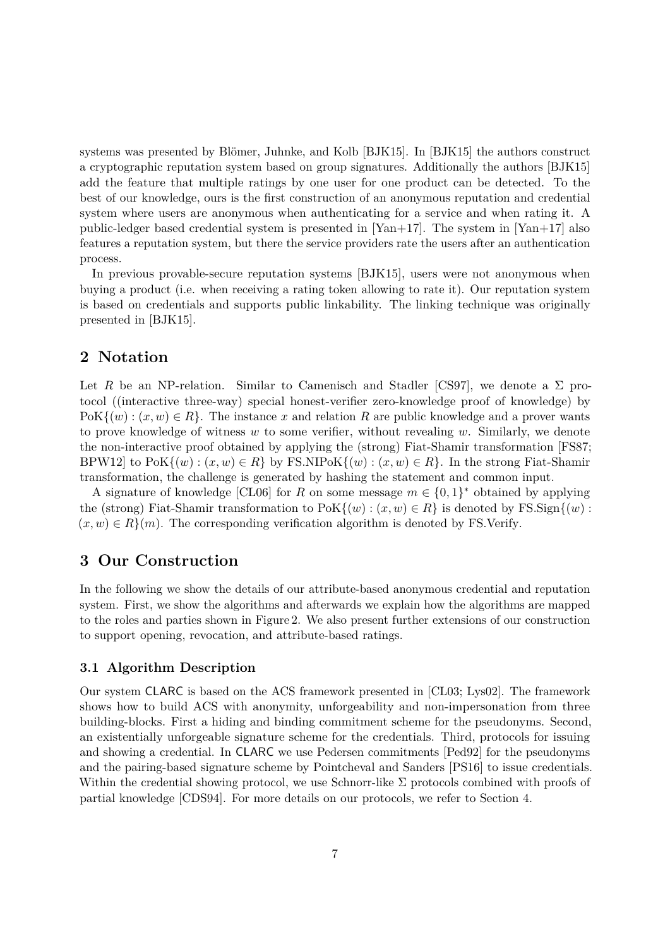systems was presented by Blömer, Juhnke, and Kolb [\[BJK15\]](#page-18-4). In [\[BJK15\]](#page-18-4) the authors construct a cryptographic reputation system based on group signatures. Additionally the authors [\[BJK15\]](#page-18-4) add the feature that multiple ratings by one user for one product can be detected. To the best of our knowledge, ours is the first construction of an anonymous reputation and credential system where users are anonymous when authenticating for a service and when rating it. A public-ledger based credential system is presented in  $[Yan+17]$ . The system in  $[Yan+17]$  also features a reputation system, but there the service providers rate the users after an authentication process.

In previous provable-secure reputation systems [\[BJK15\]](#page-18-4), users were not anonymous when buying a product (i.e. when receiving a rating token allowing to rate it). Our reputation system is based on credentials and supports public linkability. The linking technique was originally presented in [\[BJK15\]](#page-18-4).

# **2 Notation**

Let *R* be an NP-relation. Similar to Camenisch and Stadler [\[CS97\]](#page-19-7), we denote a  $\Sigma$  protocol ((interactive three-way) special honest-verifier zero-knowledge proof of knowledge) by  $PoK{(w)}$ :  $(x, w) \in R$ . The instance x and relation R are public knowledge and a prover wants to prove knowledge of witness *w* to some verifier, without revealing *w*. Similarly, we denote the non-interactive proof obtained by applying the (strong) Fiat-Shamir transformation [\[FS87;](#page-19-8) [BPW12\]](#page-18-5) to  $\text{PoK}\{(w) : (x, w) \in R\}$  by FS.NIPoK $\{(w) : (x, w) \in R\}$ . In the strong Fiat-Shamir transformation, the challenge is generated by hashing the statement and common input.

A signature of knowledge [\[CL06\]](#page-19-9) for *R* on some message  $m \in \{0,1\}^*$  obtained by applying the (strong) Fiat-Shamir transformation to  $PoK\{(w) : (x, w) \in R\}$  is denoted by FS.Sign $\{(w) :$  $(x, w) \in R$   $\{m\}$ . The corresponding verification algorithm is denoted by FS. Verify.

# **3 Our Construction**

In the following we show the details of our attribute-based anonymous credential and reputation system. First, we show the algorithms and afterwards we explain how the algorithms are mapped to the roles and parties shown in Figure [2.](#page-2-1) We also present further extensions of our construction to support opening, revocation, and attribute-based ratings.

#### <span id="page-6-0"></span>**3.1 Algorithm Description**

Our system CLARC is based on the ACS framework presented in [\[CL03;](#page-19-0) [Lys02\]](#page-20-0). The framework shows how to build ACS with anonymity, unforgeability and non-impersonation from three building-blocks. First a hiding and binding commitment scheme for the pseudonyms. Second, an existentially unforgeable signature scheme for the credentials. Third, protocols for issuing and showing a credential. In CLARC we use Pedersen commitments [\[Ped92\]](#page-20-10) for the pseudonyms and the pairing-based signature scheme by Pointcheval and Sanders [\[PS16\]](#page-20-1) to issue credentials. Within the credential showing protocol, we use Schnorr-like  $\Sigma$  protocols combined with proofs of partial knowledge [\[CDS94\]](#page-19-10). For more details on our protocols, we refer to Section [4.](#page-13-0)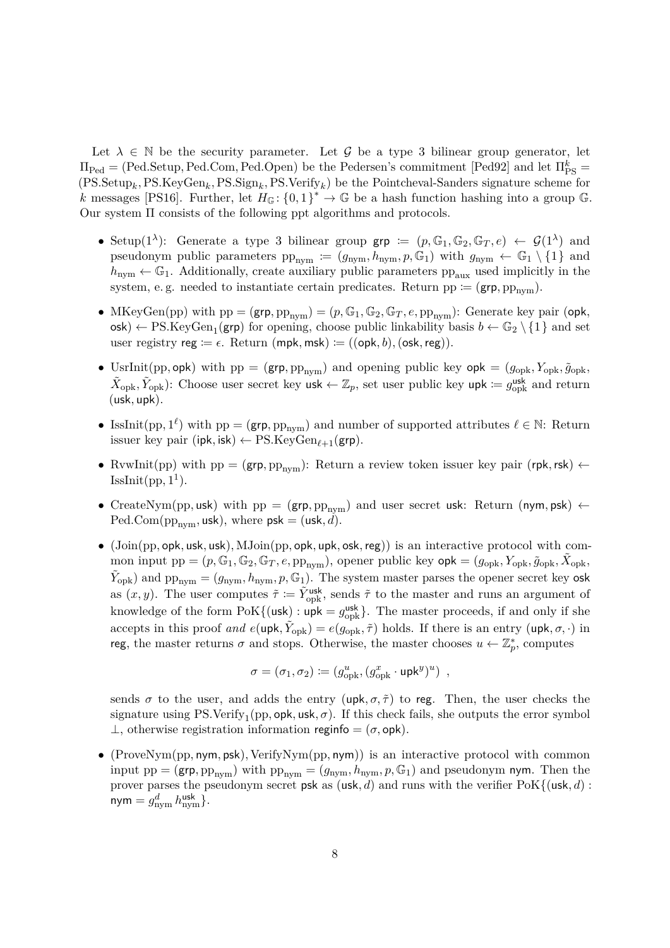Let  $\lambda \in \mathbb{N}$  be the security parameter. Let G be a type 3 bilinear group generator, let  $\Pi_{\text{Ped}} = (\text{Ped}\text{.Setup}, \text{Ped}\text{.Com}, \text{Ped}\text{.Open})$  be the Pedersen's commitment [\[Ped92\]](#page-20-10) and let  $\Pi_{\text{PS}}^k =$  $(PS.Setup_k, PS.KeyGen_k, PS.Sign_k, PS.Verify_k)$  be the Pointcheval-Sanders signature scheme for k messages [\[PS16\]](#page-20-1). Further, let  $H_G$ :  $\{0,1\}^* \to \mathbb{G}$  be a hash function hashing into a group  $\mathbb{G}$ . Our system Π consists of the following ppt algorithms and protocols.

- Setup(1<sup> $\lambda$ </sup>): Generate a type 3 bilinear group grp :=  $(p, \mathbb{G}_1, \mathbb{G}_2, \mathbb{G}_T, e) \leftarrow \mathcal{G}(1^{\lambda})$  and pseudonym public parameters  $pp_{\text{num}} := (g_{\text{nym}}, h_{\text{nym}}, p, \mathbb{G}_1)$  with  $g_{\text{nym}} \leftarrow \mathbb{G}_1 \setminus \{1\}$  and  $h_{\text{nym}} \leftarrow \mathbb{G}_1$ . Additionally, create auxiliary public parameters  $pp_{\text{aux}}$  used implicitly in the system, e.g. needed to instantiate certain predicates. Return  $pp := (grp, pp_{\text{num}})$ .
- MKeyGen(pp) with  $pp = (grp, pp_{nym}) = (p, \mathbb{G}_1, \mathbb{G}_2, \mathbb{G}_T, e, pp_{nym})$ : Generate key pair (opk,  $\text{cosk}$   $\rightarrow$  PS.KeyGen<sub>1</sub>(grp) for opening, choose public linkability basis  $b \leftarrow \mathbb{G}_2 \setminus \{1\}$  and set user registry  $reg := \epsilon$ . Return (mpk, msk) := ((opk, b), (osk, reg)).
- UsrInit(pp, opk) with  $pp = (grp, pp_{nym})$  and opening public key opk =  $(g_{opk}, Y_{opk}, \tilde{g}_{opk},$  $(\tilde{X}_{opk}, \tilde{Y}_{opk})$ : Choose user secret key usk  $\leftarrow \mathbb{Z}_p$ , set user public key upk :=  $g_{opk}^{usk}$  and return (usk*,* upk).
- IssInit(pp,  $1^{\ell}$ ) with pp = (grp, pp<sub>nym</sub>) and number of supported attributes  $\ell \in \mathbb{N}$ : Return issuer key pair (ipk, isk)  $\leftarrow$  PS.KeyGen<sub> $\ell$ +1</sub>(grp).
- RvwInit(pp) with  $pp = (grp, pp_{nvm})$ : Return a review token issuer key pair (rpk, rsk)  $\leftarrow$  $\text{IssInit}(pp, 1^1)$ .
- CreateNym(pp, usk) with  $pp = (grp, pp_{nvm})$  and user secret usk: Return (nym, psk)  $\leftarrow$  $Ped.Com(pp_{\text{num}}, \text{usk})$ , where  $psk = (usk, d)$ .
- (Join(pp*,* opk*,* usk*,* usk)*,* MJoin(pp*,* opk*,* upk*,* osk*,*reg)) is an interactive protocol with common input  $pp = (p, \mathbb{G}_1, \mathbb{G}_2, \mathbb{G}_T, e, pp_{\text{nym}})$ , opener public key  $\mathsf{opk} = (g_{\text{opk}}, Y_{\text{opk}}, \tilde{g}_{\text{opk}}, \tilde{X}_{\text{opk}})$  $\tilde{Y}_{\text{opk}}$ ) and  $pp_{\text{nym}} = (g_{\text{nym}}, h_{\text{nym}}, p, \mathbb{G}_1)$ . The system master parses the opener secret key osk as  $(x, y)$ . The user computes  $\tilde{\tau} := \tilde{Y}_{\text{opk}}^{\text{usk}}$ , sends  $\tilde{\tau}$  to the master and runs an argument of knowledge of the form  $\text{PoK}\{(\text{usk}) : \text{upk} = g_{\text{opk}}^{\text{usk}}\}.$  The master proceeds, if and only if she accepts in this proof *and*  $e(\text{upk}, \tilde{Y}_{\text{opk}}) = e(g_{\text{opk}}, \tilde{\tau})$  holds. If there is an entry  $(\text{upk}, \sigma, \cdot)$  in reg, the master returns  $\sigma$  and stops. Otherwise, the master chooses  $u \leftarrow \mathbb{Z}_p^*$ , computes

$$
\sigma = (\sigma_1, \sigma_2) \coloneqq (g_{\rm opk}^u, (g_{\rm opk}^x \cdot {\sf upk}^y)^u) \enspace,
$$

sends  $\sigma$  to the user, and adds the entry (upk,  $\sigma$ ,  $\tilde{\tau}$ ) to reg. Then, the user checks the signature using  $PS.Verify_1(pp, \mathsf{opk}, \mathsf{usk}, \sigma)$ . If this check fails, she outputs the error symbol ⊥, otherwise registration information reginfo = (*σ,* opk).

• (ProveNym(pp*,* nym*,* psk)*,* VerifyNym(pp*,* nym)) is an interactive protocol with common input  $pp = (grp, pp_{nvm})$  with  $pp_{nvm} = (g_{nym}, h_{nym}, p, \mathbb{G}_1)$  and pseudonym nym. Then the prover parses the pseudonym secret psk as (usk, d) and runs with the verifier  $PoK\{(usk, d)$ :  $\mathsf{nym} = g^d_{\mathrm{nym}}\,h^{\textsf{usk}}_{\mathrm{nym}}\}.$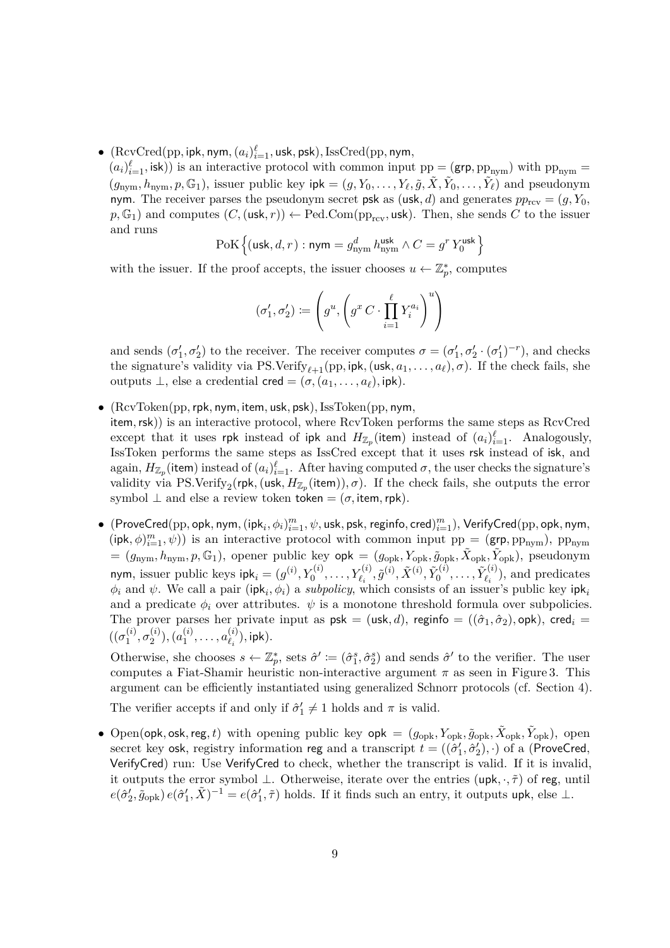$\bullet$  (RevCred(pp, ipk, nym,  $(a_i)_{i=1}^{\ell}$ , usk, psk), IssCred(pp, nym,

 $(a_i)_{i=1}^{\ell}$ , isk)) is an interactive protocol with common input pp = (grp, pp<sub>nym</sub>) with pp<sub>nym</sub>  $(g_{\text{nym}}, h_{\text{nym}}, p, \mathbb{G}_1)$ , issuer public key ipk =  $(g, Y_0, \ldots, Y_\ell, \tilde{g}, \tilde{X}, \tilde{Y}_0, \ldots, \tilde{Y}_\ell)$  and pseudonym nym. The receiver parses the pseudonym secret psk as (usk, d) and generates  $pp_{\text{rcv}} = (g, Y_0, \bar{Y}_0, \bar{Y}_0, \bar{Y}_0, \bar{Y}_0, \bar{Y}_0, \bar{Y}_0, \bar{Y}_0, \bar{Y}_0, \bar{Y}_0, \bar{Y}_0, \bar{Y}_0, \bar{Y}_0, \bar{Y}_0, \bar{Y}_0, \bar{Y}_0, \bar{Y}_0, \bar{Y}_0, \bar{Y}_0, \bar$  $p, \mathbb{G}_1$  and computes  $(C, (\text{usk}, r)) \leftarrow \text{Ped.Com}(pp_{\text{rcv}}, \text{usk})$ . Then, she sends *C* to the issuer and runs

$$
\text{PoK}\left\{(\text{usk}, d, r) : \text{nym} = g_{\text{nym}}^d \, h_{\text{nym}}^{\text{usk}} \wedge C = g^r \, Y_0^{\text{usk}}\right\}
$$

with the issuer. If the proof accepts, the issuer chooses  $u \leftarrow \mathbb{Z}_p^*$ , computes

$$
(\sigma'_1,\sigma'_2) \coloneqq \left(g^u, \left(g^x\,C\cdot \prod_{i=1}^\ell Y_i^{a_i}\right)^u\right)
$$

and sends  $(\sigma'_1, \sigma'_2)$  to the receiver. The receiver computes  $\sigma = (\sigma'_1, \sigma'_2 \cdot (\sigma'_1)^{-r})$ , and checks the signature's validity via PS.Verify<sub> $\ell+1$ </sub>(pp, ipk, (usk,  $a_1, \ldots, a_\ell$ ),  $\sigma$ ). If the check fails, she outputs  $\bot$ , else a credential cred =  $(\sigma, (a_1, \ldots, a_\ell), \text{ipk}).$ 

- (RcvToken(pp*,*rpk*,* nym*,* item*,* usk*,* psk)*,*IssToken(pp*,* nym*,* item*,*rsk)) is an interactive protocol, where RcvToken performs the same steps as RcvCred except that it uses rpk instead of ipk and  $H_{\mathbb{Z}_p}$  (item) instead of  $(a_i)_{i=1}^{\ell}$ . Analogously, IssToken performs the same steps as IssCred except that it uses rsk instead of isk, and again,  $H_{\mathbb{Z}_p}$  (item) instead of  $(a_i)_{i=1}^{\ell}$ . After having computed  $\sigma$ , the user checks the signature's validity via PS.Verify<sub>2</sub>(rpk, (usk,  $H_{\mathbb{Z}_p}$ (item)),  $\sigma$ ). If the check fails, she outputs the error symbol  $\perp$  and else a review token token =  $(\sigma,$  item, rpk).
- $\bullet\;$   $(\mathsf{ProveCred}(\mathrm{pp},\mathsf{opk},\mathsf{nym},(\mathsf{ipk}_i,\phi_i)_{i=1}^m,\psi,\mathsf{usk},\mathsf{psk},\mathsf{reginfo},\mathsf{cred})_{i=1}^m),\mathsf{VerifyCred}(\mathrm{pp},\mathsf{opk},\mathsf{nym},$  $(\textsf{ipk}, \phi)_{i=1}^m, \psi)$  is an interactive protocol with common input pp = (grp, pp<sub>nym</sub>), pp<sub>nym</sub>)  $=(g_{\text{nym}}, h_{\text{nym}}, p, \mathbb{G}_1)$ , opener public key opk  $=(g_{\text{opk}}, Y_{\text{opk}}, \tilde{g}_{\text{opk}}, \tilde{X}_{\text{opk}}, \tilde{Y}_{\text{opk}})$ , pseudonym nym, issuer public keys  $ipk_i = (g^{(i)}, Y_0^{(i)}, \dots, Y_{\ell_i}^{(i)}, \tilde{g}^{(i)}, \tilde{X}^{(i)}, \tilde{Y}_0^{(i)})$  $\tilde{Y}^{(i)}_0, \ldots, \tilde{Y}^{(i)}_{\ell_i}$  $\tilde{e}^{(i)}_{i}$ , and predicates  $\phi_i$  and  $\psi$ . We call a pair (ipk<sub>*i*</sub>,  $\phi_i$ ) a *subpolicy*, which consists of an issuer's public key ipk<sub>*i*</sub> and a predicate  $\phi_i$  over attributes.  $\psi$  is a monotone threshold formula over subpolicies. The prover parses her private input as  $psk = (usk, d)$ , reginfo =  $((\hat{\sigma}_1, \hat{\sigma}_2), \text{opk})$ , cred<sub>*i*</sub> =  $((\sigma_1^{(i)}$  $\mathcal{L}_1^{(i)},\mathcal{\sigma}_2^{(i)}$  $\binom{(i)}{2},\left(a_1^{(i)}\right)$  $a_1^{(i)}, \ldots, a_{\ell_i}^{(i)}$  $\binom{v}{\ell_i}$ , ipk).

Otherwise, she chooses  $s \leftarrow \mathbb{Z}_p^*$ , sets  $\hat{\sigma}' := (\hat{\sigma}_1^s, \hat{\sigma}_2^s)$  and sends  $\hat{\sigma}'$  to the verifier. The user computes a Fiat-Shamir heuristic non-interactive argument *π* as seen in Figure [3.](#page-9-0) This argument can be efficiently instantiated using generalized Schnorr protocols (cf. Section [4\)](#page-13-0).

The verifier accepts if and only if  $\hat{\sigma}'_1 \neq 1$  holds and  $\pi$  is valid.

• Open(opk, osk, reg, t) with opening public key opk =  $(g_{\text{opk}}, Y_{\text{opk}}, \tilde{g}_{\text{opk}}, \tilde{X}_{\text{opk}}, \tilde{Y}_{\text{opk}})$ , open secret key osk, registry information reg and a transcript  $t = ((\hat{\sigma}'_1, \hat{\sigma}'_2), \cdot)$  of a (ProveCred, VerifyCred) run: Use VerifyCred to check, whether the transcript is valid. If it is invalid, it outputs the error symbol ⊥. Otherweise, iterate over the entries (upk,  $\cdot$ ,  $\tilde{\tau}$ ) of reg, until  $e(\hat{\sigma}'_2, \tilde{g}_{\text{opk}}) e(\hat{\sigma}'_1, \tilde{X})^{-1} = e(\hat{\sigma}'_1, \tilde{\tau})$  holds. If it finds such an entry, it outputs upk, else ⊥.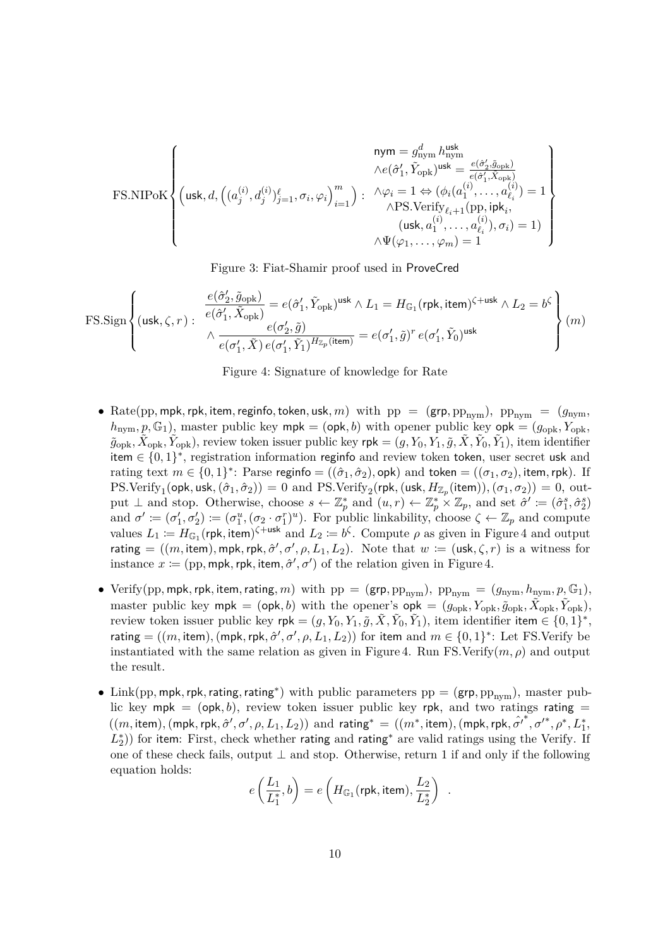$$
\text{FS.NIPoK}\left\{\begin{aligned} \mathsf{hym} &= g^d_\text{nym}\,h^{\text{usk}}_\text{nym} \\ &\wedge e(\hat{\sigma}'_1,\tilde{Y}_\text{opk})^\text{usk} = \frac{e(\hat{\sigma}'_2,\tilde{g}_\text{opk})}{e(\hat{\sigma}'_1,\tilde{X}_\text{opk})}\\ \text{FS.NIPoK}\left\{(\mathsf{usk},d,\left((a_j^{(i)},d_j^{(i)})_{j=1}^\ell,\sigma_i,\varphi_i\right)_{i=1}^m):&\begin{matrix} \wedge\varphi_i=1 \Leftrightarrow (\phi_i(a_1^{(i)},\ldots,a_{\ell_i}^{(i)})=1\\ \wedge\text{PS.Verify}_{\ell_i+1}(\text{pp},\text{ipk}_i,\\ (\text{usk},a_1^{(i)},\ldots,a_{\ell_i}^{(i)}),\sigma_i)=1) \end{matrix}\right\} \\ &\begin{matrix} \wedge\Psi(\varphi_1,\ldots,\varphi_m)=1 \end{matrix}\end{aligned}\right\}
$$

<span id="page-9-0"></span>Figure 3: Fiat-Shamir proof used in ProveCred

$$
\text{FS.Sign}\left\{(\text{usk}, \zeta, r): \begin{array}{l} \frac{e(\hat{\sigma}_2', \tilde{g}_{\text{opk}})}{e(\hat{\sigma}_1', \tilde{X}_{\text{opk}})} = e(\hat{\sigma}_1', \tilde{Y}_{\text{opk}})^{\text{usk}} \wedge L_1 = H_{\mathbb{G}_1}(\text{rpk}, \text{item})^{\zeta + \text{usk}} \wedge L_2 = b^{\zeta} \\ \wedge \frac{e(\sigma_2', \tilde{g})}{e(\sigma_1', \tilde{X}) e(\sigma_1', \tilde{Y}_1)^{H_{\mathbb{Z}_p}(\text{item})}} = e(\sigma_1', \tilde{g})^r e(\sigma_1', \tilde{Y}_0)^{\text{usk}} \end{array}\right\} (m)
$$

<span id="page-9-1"></span>Figure 4: Signature of knowledge for Rate

- Rate(pp, mpk, rpk, item, reginfo, token, usk, m) with  $pp = (grp, pp_{nym})$ ,  $pp_{nym} = (g_{nym}$ ,  $h_{\text{nym}}, p, \mathbb{G}_1$ ), master public key mpk = (opk, b) with opener public key opk =  $(g_{\text{opk}}, Y_{\text{opk}},$  $(g_{\text{opk}}, \tilde{X}_{\text{opk}}, \tilde{Y}_{\text{opk}})$ , review token issuer public key  $\mathsf{rpk} = (g, Y_0, Y_1, \tilde{g}, \tilde{X}, \tilde{Y}_0, \tilde{Y}_1)$ , item identifier item ∈  ${0,1}^*$ , registration information reginfo and review token token, user secret usk and rating text  $m \in \{0,1\}^*$ : Parse reginfo =  $((\hat{\sigma}_1, \hat{\sigma}_2), \text{opk})$  and token =  $((\sigma_1, \sigma_2), \text{item}, \text{rpk})$ . If  $\mathrm{PS}.\mathrm{Verify}_1(\mathsf{opk},\mathsf{usk},(\hat{\sigma}_1,\hat{\sigma}_2))=0\, \text{ and }\, \mathrm{PS}.\mathrm{Verify}_2(\mathsf{rpk},(\mathsf{usk},H_{\mathbb{Z}_p}(\mathsf{item})),(\sigma_1,\sigma_2))=0,\, \text{out-}$ put  $\perp$  and stop. Otherwise, choose  $s \leftarrow \mathbb{Z}_p^*$  and  $(u, r) \leftarrow \mathbb{Z}_p^* \times \mathbb{Z}_p$ , and set  $\hat{\sigma}' \coloneqq (\hat{\sigma}_1^s, \hat{\sigma}_2^s)$ and  $\sigma' := (\sigma_1', \sigma_2') := (\sigma_1^u, (\sigma_2 \cdot \sigma_1^r)^u)$ . For public linkability, choose  $\zeta \leftarrow \mathbb{Z}_p$  and compute values  $L_1 := H_{\mathbb{G}_1}(\text{rpk}, \text{item})^{\zeta + \text{usk}}$  and  $L_2 := b^{\zeta}$ . Compute  $\rho$  as given in Figure [4](#page-9-1) and output  $\mathsf{rating} = ((m, \mathsf{item}), \mathsf{mpk}, \mathsf{rpk}, \hat{\sigma}', \sigma', \rho, L_1, L_2).$  Note that  $w := (\mathsf{usk}, \zeta, r)$  is a witness for instance  $x \coloneqq (pp, \text{mpk}, \text{rpk}, \text{item}, \hat{\sigma}', \sigma')$  of the relation given in Figure [4.](#page-9-1)
- Verify(pp, mpk, rpk, item, rating,  $m$ ) with  $pp = (grp, pp_{\text{nym}})$ ,  $pp_{\text{nym}} = (g_{\text{nym}}, h_{\text{nym}}, p, \mathbb{G}_1)$ , master public key mpk = (opk, b) with the opener's  $\text{opt} = (g_{\text{opk}}, Y_{\text{opk}}, \tilde{g}_{\text{opk}}, \tilde{X}_{\text{opk}}, \tilde{Y}_{\text{opk}})$ review token issuer public key  $\mathsf{rpk} = (g, Y_0, Y_1, \tilde{g}, \tilde{X}, \tilde{Y}_0, \tilde{Y}_1)$ , item identifier item  $\in \{0, 1\}^*$ , rating =  $((m, \text{item}), (\text{mpk}, \text{rpk}, \hat{\sigma}', \sigma', \rho, L_1, L_2))$  for item and  $m \in \{0, 1\}^*$ : Let FS.Verify be instantiated with the same relation as given in Figure [4.](#page-9-1) Run FS.Verify $(m, \rho)$  and output the result.
- Link(pp, mpk, rpk, rating, rating<sup>\*</sup>) with public parameters  $pp = (grp, pp_{\text{nym}})$ , master public key  $mpk = (opk, b)$ , review token issuer public key rpk, and two ratings rating =  $((m,\text{item}), (\text{mpk}, \text{rpk}, \hat{\sigma}', \sigma', \rho, L_1, L_2))$  and rating  $^* = ((m^*,\text{item}), (\text{mpk}, \text{rpk}, \hat{\sigma'}^*, \sigma'^*, \rho^*, L_1^*,$  $L_2^*$ )) for item: First, check whether rating and rating<sup>∗</sup> are valid ratings using the Verify. If one of these check fails, output  $\perp$  and stop. Otherwise, return 1 if and only if the following equation holds:

$$
e\left(\frac{L_1}{L_1^*}, b\right) = e\left(H_{\mathbb{G}_1}(\mathsf{rpk}, \mathsf{item}), \frac{L_2}{L_2^*}\right)
$$

*.*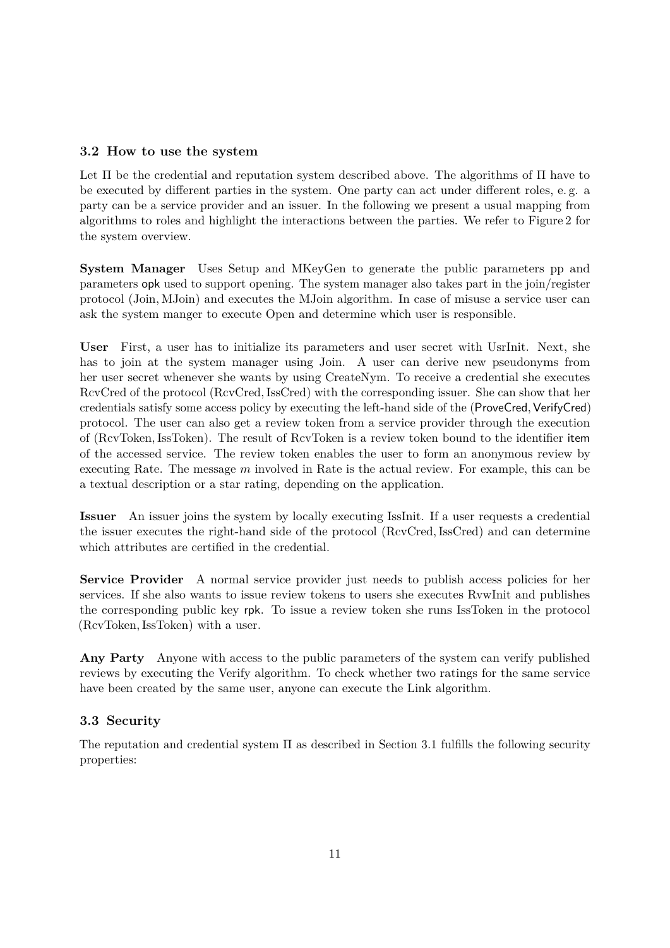## **3.2 How to use the system**

Let Π be the credential and reputation system described above. The algorithms of Π have to be executed by different parties in the system. One party can act under different roles, e. g. a party can be a service provider and an issuer. In the following we present a usual mapping from algorithms to roles and highlight the interactions between the parties. We refer to Figure [2](#page-2-1) for the system overview.

**System Manager** Uses Setup and MKeyGen to generate the public parameters pp and parameters opk used to support opening. The system manager also takes part in the join/register protocol (Join*,* MJoin) and executes the MJoin algorithm. In case of misuse a service user can ask the system manger to execute Open and determine which user is responsible.

**User** First, a user has to initialize its parameters and user secret with UsrInit. Next, she has to join at the system manager using Join. A user can derive new pseudonyms from her user secret whenever she wants by using CreateNym. To receive a credential she executes RcvCred of the protocol (RcvCred*,*IssCred) with the corresponding issuer. She can show that her credentials satisfy some access policy by executing the left-hand side of the (ProveCred*,* VerifyCred) protocol. The user can also get a review token from a service provider through the execution of (RcvToken*,*IssToken). The result of RcvToken is a review token bound to the identifier item of the accessed service. The review token enables the user to form an anonymous review by executing Rate. The message *m* involved in Rate is the actual review. For example, this can be a textual description or a star rating, depending on the application.

**Issuer** An issuer joins the system by locally executing IssInit. If a user requests a credential the issuer executes the right-hand side of the protocol (RcvCred*,*IssCred) and can determine which attributes are certified in the credential.

**Service Provider** A normal service provider just needs to publish access policies for her services. If she also wants to issue review tokens to users she executes RvwInit and publishes the corresponding public key rpk. To issue a review token she runs IssToken in the protocol (RcvToken*,*IssToken) with a user.

**Any Party** Anyone with access to the public parameters of the system can verify published reviews by executing the Verify algorithm. To check whether two ratings for the same service have been created by the same user, anyone can execute the Link algorithm.

## **3.3 Security**

The reputation and credential system Π as described in Section [3.1](#page-6-0) fulfills the following security properties: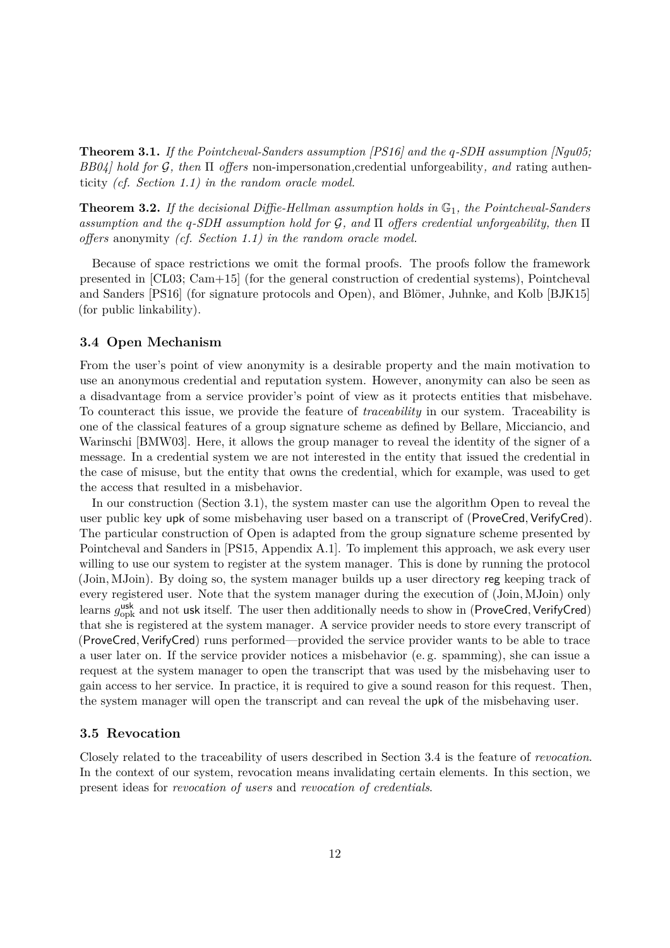**Theorem 3.1.** *If the Pointcheval-Sanders assumption [\[PS16\]](#page-20-1) and the q-SDH assumption [\[Ngu05;](#page-20-11) [BB04\]](#page-18-6) hold for* G*, then* Π *offers* non-impersonation*,*credential unforgeability*, and* rating authenticity *(cf. Section [1.1\)](#page-2-2) in the random oracle model.*

**Theorem 3.2.** If the decisional Diffie-Hellman assumption holds in  $\mathbb{G}_1$ , the Pointcheval-Sanders *assumption and the q-SDH assumption hold for* G*, and* Π *offers credential unforgeability, then* Π *offers* anonymity *(cf. Section [1.1\)](#page-2-2) in the random oracle model.*

Because of space restrictions we omit the formal proofs. The proofs follow the framework presented in [\[CL03;](#page-19-0) [Cam+15\]](#page-18-7) (for the general construction of credential systems), Pointcheval and Sanders [\[PS16\]](#page-20-1) (for signature protocols and Open), and Blömer, Juhnke, and Kolb [\[BJK15\]](#page-18-4) (for public linkability).

#### <span id="page-11-0"></span>**3.4 Open Mechanism**

From the user's point of view anonymity is a desirable property and the main motivation to use an anonymous credential and reputation system. However, anonymity can also be seen as a disadvantage from a service provider's point of view as it protects entities that misbehave. To counteract this issue, we provide the feature of *traceability* in our system. Traceability is one of the classical features of a group signature scheme as defined by Bellare, Micciancio, and Warinschi [\[BMW03\]](#page-18-8). Here, it allows the group manager to reveal the identity of the signer of a message. In a credential system we are not interested in the entity that issued the credential in the case of misuse, but the entity that owns the credential, which for example, was used to get the access that resulted in a misbehavior.

In our construction (Section [3.1\)](#page-6-0), the system master can use the algorithm Open to reveal the user public key upk of some misbehaving user based on a transcript of (ProveCred*,* VerifyCred). The particular construction of Open is adapted from the group signature scheme presented by Pointcheval and Sanders in [\[PS15,](#page-20-12) Appendix A.1]. To implement this approach, we ask every user willing to use our system to register at the system manager. This is done by running the protocol (Join*,* MJoin). By doing so, the system manager builds up a user directory reg keeping track of every registered user. Note that the system manager during the execution of (Join*,* MJoin) only learns  $g_{\rm opt}^{\rm usk}$  and not usk itself. The user then additionally needs to show in (ProveCred, VerifyCred) that she is registered at the system manager. A service provider needs to store every transcript of (ProveCred*,* VerifyCred) runs performed—provided the service provider wants to be able to trace a user later on. If the service provider notices a misbehavior (e. g. spamming), she can issue a request at the system manager to open the transcript that was used by the misbehaving user to gain access to her service. In practice, it is required to give a sound reason for this request. Then, the system manager will open the transcript and can reveal the upk of the misbehaving user.

#### **3.5 Revocation**

Closely related to the traceability of users described in Section [3.4](#page-11-0) is the feature of *revocation*. In the context of our system, revocation means invalidating certain elements. In this section, we present ideas for *revocation of users* and *revocation of credentials*.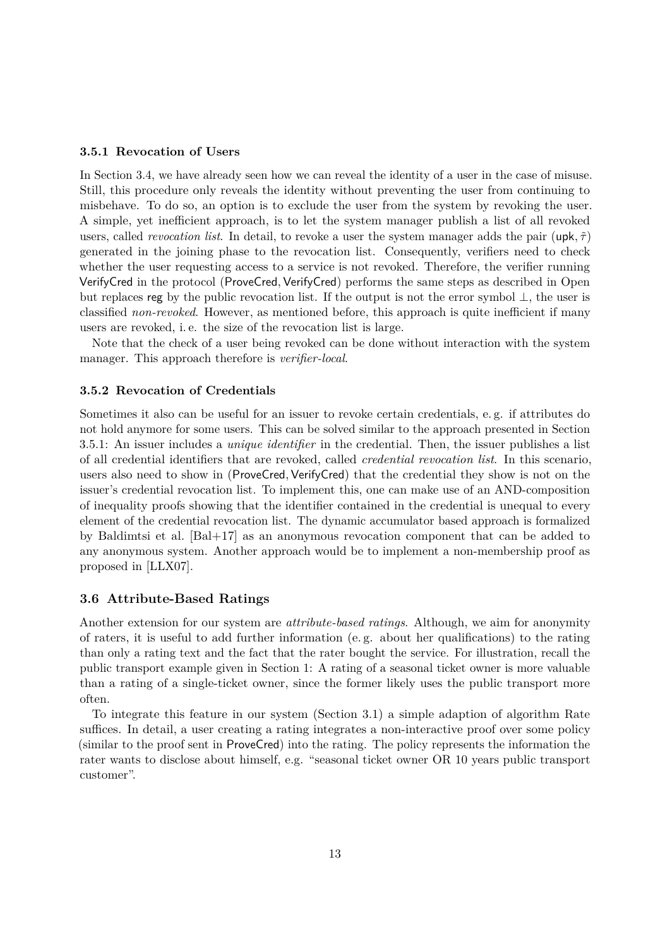#### <span id="page-12-1"></span>**3.5.1 Revocation of Users**

In Section [3.4,](#page-11-0) we have already seen how we can reveal the identity of a user in the case of misuse. Still, this procedure only reveals the identity without preventing the user from continuing to misbehave. To do so, an option is to exclude the user from the system by revoking the user. A simple, yet inefficient approach, is to let the system manager publish a list of all revoked users, called *revocation list*. In detail, to revoke a user the system manager adds the pair (upk,  $\tilde{\tau}$ ) generated in the joining phase to the revocation list. Consequently, verifiers need to check whether the user requesting access to a service is not revoked. Therefore, the verifier running VerifyCred in the protocol (ProveCred*,* VerifyCred) performs the same steps as described in Open but replaces reg by the public revocation list. If the output is not the error symbol ⊥, the user is classified *non-revoked*. However, as mentioned before, this approach is quite inefficient if many users are revoked, i. e. the size of the revocation list is large.

Note that the check of a user being revoked can be done without interaction with the system manager. This approach therefore is *verifier-local*.

#### **3.5.2 Revocation of Credentials**

Sometimes it also can be useful for an issuer to revoke certain credentials, e. g. if attributes do not hold anymore for some users. This can be solved similar to the approach presented in Section [3.5.1:](#page-12-1) An issuer includes a *unique identifier* in the credential. Then, the issuer publishes a list of all credential identifiers that are revoked, called *credential revocation list*. In this scenario, users also need to show in (ProveCred*,* VerifyCred) that the credential they show is not on the issuer's credential revocation list. To implement this, one can make use of an AND-composition of inequality proofs showing that the identifier contained in the credential is unequal to every element of the credential revocation list. The dynamic accumulator based approach is formalized by Baldimtsi et al. [\[Bal+17\]](#page-18-9) as an anonymous revocation component that can be added to any anonymous system. Another approach would be to implement a non-membership proof as proposed in [\[LLX07\]](#page-20-13).

#### <span id="page-12-0"></span>**3.6 Attribute-Based Ratings**

Another extension for our system are *attribute-based ratings*. Although, we aim for anonymity of raters, it is useful to add further information (e.g. about her qualifications) to the rating than only a rating text and the fact that the rater bought the service. For illustration, recall the public transport example given in Section [1:](#page-1-0) A rating of a seasonal ticket owner is more valuable than a rating of a single-ticket owner, since the former likely uses the public transport more often.

To integrate this feature in our system (Section [3.1\)](#page-6-0) a simple adaption of algorithm Rate suffices. In detail, a user creating a rating integrates a non-interactive proof over some policy (similar to the proof sent in ProveCred) into the rating. The policy represents the information the rater wants to disclose about himself, e.g. "seasonal ticket owner OR 10 years public transport customer".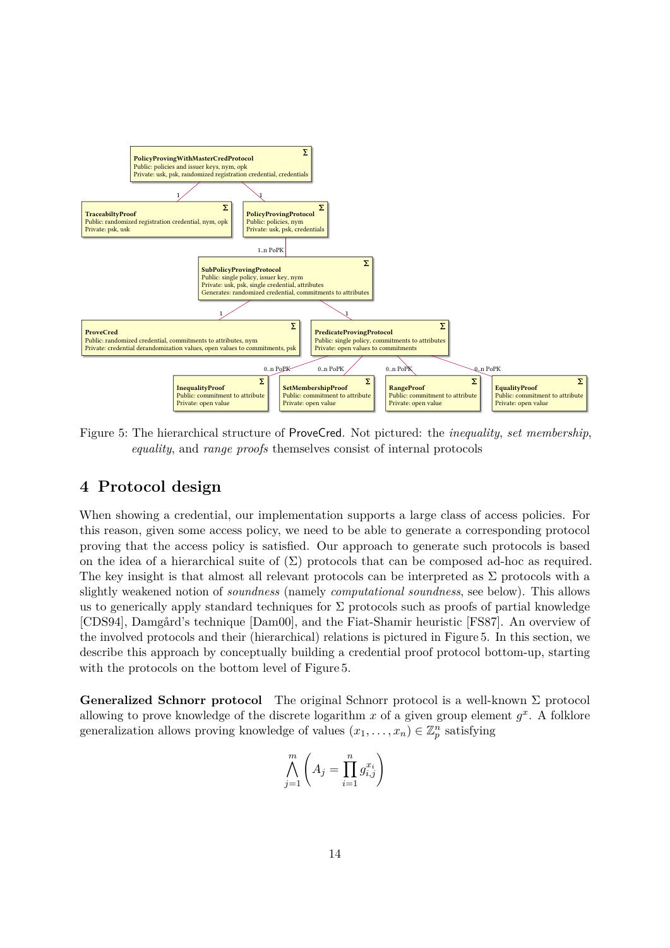

<span id="page-13-1"></span>Figure 5: The hierarchical structure of ProveCred. Not pictured: the *inequality*, *set membership*, *equality*, and *range proofs* themselves consist of internal protocols

# <span id="page-13-0"></span>**4 Protocol design**

When showing a credential, our implementation supports a large class of access policies. For this reason, given some access policy, we need to be able to generate a corresponding protocol proving that the access policy is satisfied. Our approach to generate such protocols is based on the idea of a hierarchical suite of  $(\Sigma)$  protocols that can be composed ad-hoc as required. The key insight is that almost all relevant protocols can be interpreted as  $\Sigma$  protocols with a slightly weakened notion of *soundness* (namely *computational soundness*, see below). This allows us to generically apply standard techniques for  $\Sigma$  protocols such as proofs of partial knowledge [\[CDS94\]](#page-19-10), Damgård's technique [\[Dam00\]](#page-19-11), and the Fiat-Shamir heuristic [\[FS87\]](#page-19-8). An overview of the involved protocols and their (hierarchical) relations is pictured in Figure [5.](#page-13-1) In this section, we describe this approach by conceptually building a credential proof protocol bottom-up, starting with the protocols on the bottom level of Figure [5.](#page-13-1)

**Generalized Schnorr protocol** The original Schnorr protocol is a well-known Σ protocol allowing to prove knowledge of the discrete logarithm  $x$  of a given group element  $g^x$ . A folklore generalization allows proving knowledge of values  $(x_1, \ldots, x_n) \in \mathbb{Z}_p^n$  satisfying

$$
\bigwedge_{j=1}^{m} \left( A_j = \prod_{i=1}^{n} g_{i,j}^{x_i} \right)
$$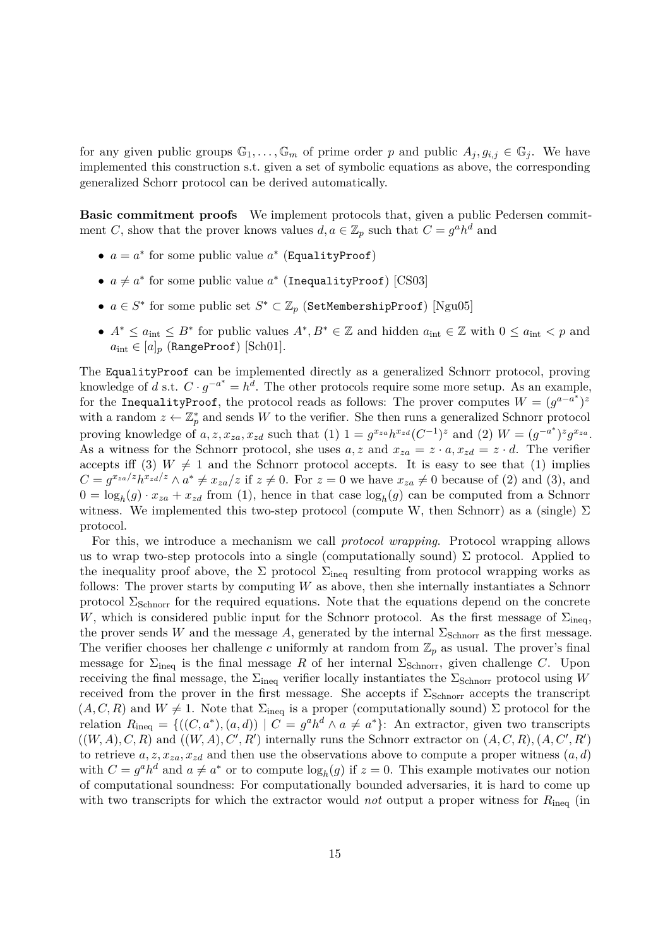for any given public groups  $\mathbb{G}_1, \ldots, \mathbb{G}_m$  of prime order p and public  $A_j, g_{i,j} \in \mathbb{G}_j$ . We have implemented this construction s.t. given a set of symbolic equations as above, the corresponding generalized Schorr protocol can be derived automatically.

**Basic commitment proofs** We implement protocols that, given a public Pedersen commitment *C*, show that the prover knows values  $d, a \in \mathbb{Z}_p$  such that  $C = g^a h^d$  and

- $a = a^*$  for some public value  $a^*$  (EqualityProof)
- $a \neq a^*$  for some public value  $a^*$  (InequalityProof) [\[CS03\]](#page-19-12)
- *a* ∈ *S* ∗ for some public set *S* <sup>∗</sup> ⊂ Z*<sup>p</sup>* (SetMembershipProof) [\[Ngu05\]](#page-20-11)
- $A^* \le a_{\text{int}} \le B^*$  for public values  $A^*, B^* \in \mathbb{Z}$  and hidden  $a_{\text{int}} \in \mathbb{Z}$  with  $0 \le a_{\text{int}} < p$  and  $a_{\text{int}} \in [a]_p$  (RangeProof) [\[Sch01\]](#page-20-14).

The EqualityProof can be implemented directly as a generalized Schnorr protocol, proving knowledge of *d* s.t.  $C \cdot g^{-a^*} = h^d$ . The other protocols require some more setup. As an example, for the InequalityProof, the protocol reads as follows: The prover computes  $W = (g^{a-\overline{a^*}})^z$ with a random  $z \leftarrow \mathbb{Z}_p^*$  and sends W to the verifier. She then runs a generalized Schnorr protocol proving knowledge of  $a, z, x_{za}, x_{zd}$  such that (1)  $1 = g^{x_{za}}h^{x_{zd}}(C^{-1})^z$  and (2)  $W = (g^{-a^*})^z g^{x_{za}}$ . As a witness for the Schnorr protocol, she uses  $a, z$  and  $x_{za} = z \cdot a, x_{zd} = z \cdot d$ . The verifier accepts iff (3)  $W \neq 1$  and the Schnorr protocol accepts. It is easy to see that (1) implies  $C = g^{x_{za}/z}h^{x_{zd}/z} \wedge a^* \neq x_{za}/z$  if  $z \neq 0$ . For  $z = 0$  we have  $x_{za} \neq 0$  because of (2) and (3), and  $0 = \log_h(g) \cdot x_{za} + x_{zd}$  from (1), hence in that case  $\log_h(g)$  can be computed from a Schnorr witness. We implemented this two-step protocol (compute W, then Schnorr) as a (single)  $\Sigma$ protocol.

For this, we introduce a mechanism we call *protocol wrapping*. Protocol wrapping allows us to wrap two-step protocols into a single (computationally sound)  $\Sigma$  protocol. Applied to the inequality proof above, the  $\Sigma$  protocol  $\Sigma_{\text{ineq}}$  resulting from protocol wrapping works as follows: The prover starts by computing *W* as above, then she internally instantiates a Schnorr protocol  $\Sigma_{\text{Schorr}}$  for the required equations. Note that the equations depend on the concrete *W*, which is considered public input for the Schnorr protocol. As the first message of  $\Sigma_{\text{ineq}}$ , the prover sends *W* and the message *A*, generated by the internal  $\Sigma_{\text{Schorr}}$  as the first message. The verifier chooses her challenge *c* uniformly at random from  $\mathbb{Z}_p$  as usual. The prover's final message for  $\Sigma_{\text{ineq}}$  is the final message *R* of her internal  $\Sigma_{\text{Schorr}}$ , given challenge *C*. Upon receiving the final message, the  $\Sigma_{\text{ineq}}$  verifier locally instantiates the  $\Sigma_{\text{Schnorr}}$  protocol using *W* received from the prover in the first message. She accepts if  $\Sigma_{\rm Schnorr}$  accepts the transcript  $(A, C, R)$  and  $W \neq 1$ . Note that  $\Sigma_{\text{ineq}}$  is a proper (computationally sound)  $\Sigma$  protocol for the relation  $R_{\text{ineq}} = \{((C, a^*), (a, d)) \mid C = g^a h^d \wedge a \neq a^* \}$ : An extractor, given two transcripts  $((W, A), C, R)$  and  $((W, A), C', R')$  internally runs the Schnorr extractor on  $(A, C, R), (A, C', R')$ to retrieve  $a, z, x_{za}, x_{zd}$  and then use the observations above to compute a proper witness  $(a, d)$ with  $C = g^a h^d$  and  $a \neq a^*$  or to compute  $\log_h(g)$  if  $z = 0$ . This example motivates our notion of computational soundness: For computationally bounded adversaries, it is hard to come up with two transcripts for which the extractor would *not* output a proper witness for  $R_{\text{ineq}}$  (in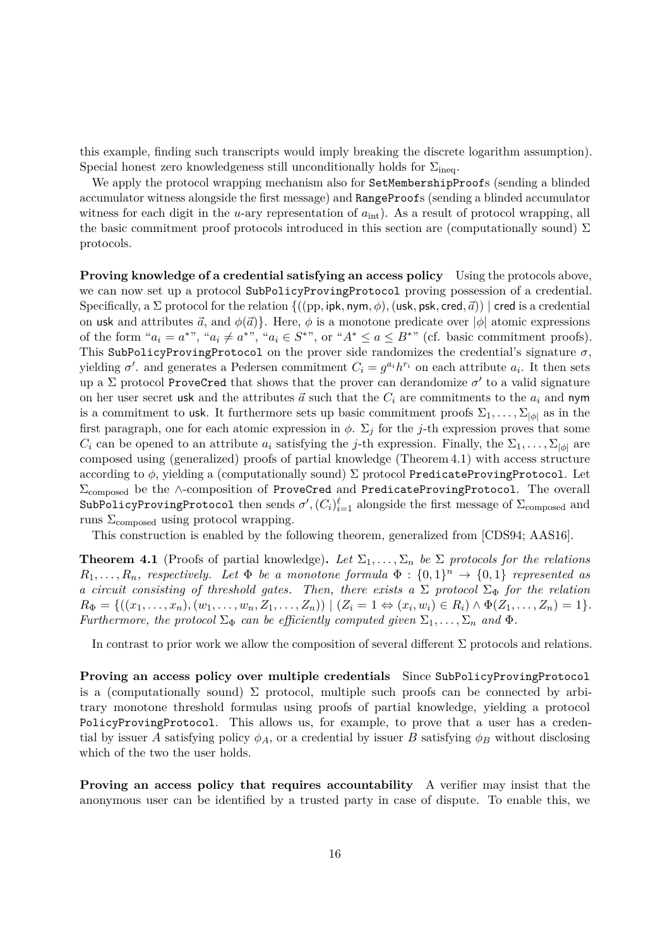this example, finding such transcripts would imply breaking the discrete logarithm assumption). Special honest zero knowledgeness still unconditionally holds for  $\Sigma_{\text{ineq}}$ .

We apply the protocol wrapping mechanism also for SetMembershipProofs (sending a blinded accumulator witness alongside the first message) and RangeProofs (sending a blinded accumulator witness for each digit in the *u*-ary representation of *a*int). As a result of protocol wrapping, all the basic commitment proof protocols introduced in this section are (computationally sound)  $\Sigma$ protocols.

**Proving knowledge of a credential satisfying an access policy** Using the protocols above, we can now set up a protocol SubPolicyProvingProtocol proving possession of a credential. Specifically, a  $\Sigma$  protocol for the relation  $\{((pp, ipk, nym, \phi), (usk, psk, cred, \vec{a})) \mid cred \text{ is a credentials} \}$ on usk and attributes  $\vec{a}$ , and  $\phi(\vec{a})$ . Here,  $\phi$  is a monotone predicate over  $|\phi|$  atomic expressions of the form " $a_i = a^*$ ", " $a_i \neq a^*$ ", " $a_i \in S^*$ ", or " $A^* \le a \le B^*$ " (cf. basic commitment proofs). This SubPolicyProvingProtocol on the prover side randomizes the credential's signature  $\sigma$ , yielding  $\sigma'$ , and generates a Pedersen commitment  $C_i = g^{a_i} h^{r_i}$  on each attribute  $a_i$ . It then sets up a  $\Sigma$  protocol ProveCred that shows that the prover can derandomize  $\sigma'$  to a valid signature on her user secret usk and the attributes  $\vec{a}$  such that the  $C_i$  are commitments to the  $a_i$  and nym is a commitment to usk. It furthermore sets up basic commitment proofs  $\Sigma_1, \ldots, \Sigma_{|\phi|}$  as in the first paragraph, one for each atomic expression in  $\phi$ .  $\Sigma_j$  for the *j*-th expression proves that some  $C_i$  can be opened to an attribute  $a_i$  satisfying the *j*-th expression. Finally, the  $\Sigma_1, \ldots, \Sigma_{|\phi|}$  are composed using (generalized) proofs of partial knowledge (Theorem [4.1\)](#page-15-0) with access structure according to  $\phi$ , yielding a (computationally sound)  $\Sigma$  protocol PredicateProvingProtocol. Let Σcomposed be the ∧-composition of ProveCred and PredicateProvingProtocol. The overall  $\text{SubPolicyProvingProtocol}$  then sends  $\sigma', (C_i)_{i=1}^{\ell}$  alongside the first message of  $\Sigma_{\text{composed}}$  and runs  $\Sigma_{\rm composed}$  using protocol wrapping.

This construction is enabled by the following theorem, generalized from [\[CDS94;](#page-19-10) [AAS16\]](#page-17-1).

<span id="page-15-0"></span>**Theorem 4.1** (Proofs of partial knowledge). Let  $\Sigma_1, \ldots, \Sigma_n$  be  $\Sigma$  protocols for the relations  $R_1, \ldots, R_n$ , respectively. Let  $\Phi$  be a monotone formula  $\Phi : \{0,1\}^n \to \{0,1\}$  represented as *a circuit consisting of threshold gates. Then, there exists a*  $\Sigma$  *protocol*  $\Sigma_{\Phi}$  *for the relation*  $R_{\Phi} = \{((x_1, \ldots, x_n), (w_1, \ldots, w_n, Z_1, \ldots, Z_n)) \mid (Z_i = 1 \Leftrightarrow (x_i, w_i) \in R_i) \land \Phi(Z_1, \ldots, Z_n) = 1\}.$ *Furthermore, the protocol*  $\Sigma_{\Phi}$  *can be efficiently computed given*  $\Sigma_1, \ldots, \Sigma_n$  *and*  $\Phi$ *.* 

In contrast to prior work we allow the composition of several different  $\Sigma$  protocols and relations.

**Proving an access policy over multiple credentials** Since SubPolicyProvingProtocol is a (computationally sound)  $\Sigma$  protocol, multiple such proofs can be connected by arbitrary monotone threshold formulas using proofs of partial knowledge, yielding a protocol PolicyProvingProtocol. This allows us, for example, to prove that a user has a credential by issuer *A* satisfying policy  $\phi_A$ , or a credential by issuer *B* satisfying  $\phi_B$  without disclosing which of the two the user holds.

**Proving an access policy that requires accountability** A verifier may insist that the anonymous user can be identified by a trusted party in case of dispute. To enable this, we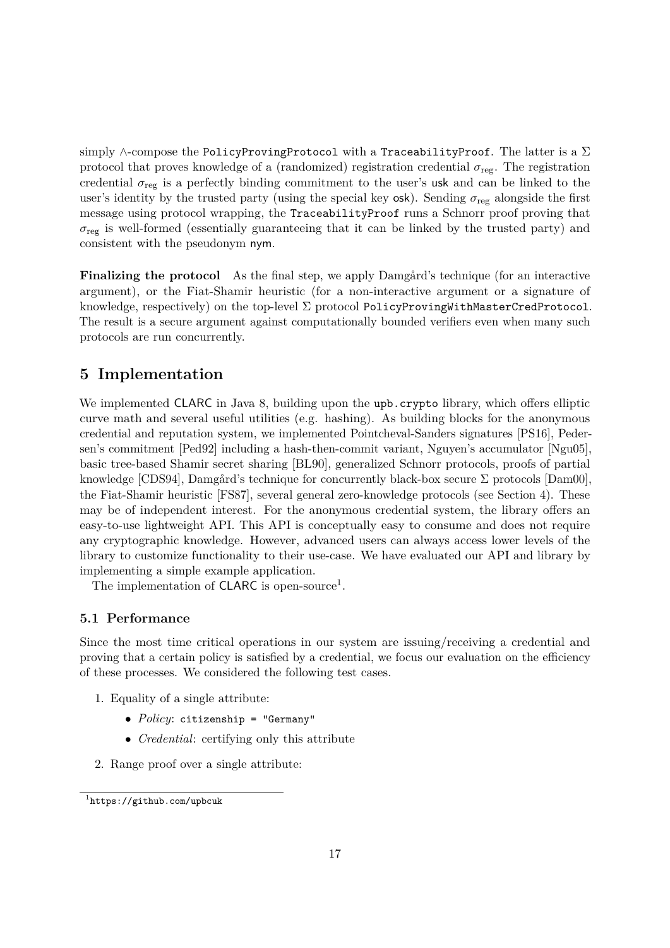simply ∧-compose the PolicyProvingProtocol with a TraceabilityProof. The latter is a  $\Sigma$ protocol that proves knowledge of a (randomized) registration credential  $\sigma_{\text{rec}}$ . The registration credential  $\sigma_{reg}$  is a perfectly binding commitment to the user's usk and can be linked to the user's identity by the trusted party (using the special key  $\circ$ sk). Sending  $\sigma_{reg}$  alongside the first message using protocol wrapping, the TraceabilityProof runs a Schnorr proof proving that  $\sigma_{\text{reg}}$  is well-formed (essentially guaranteeing that it can be linked by the trusted party) and consistent with the pseudonym nym.

**Finalizing the protocol** As the final step, we apply Damgård's technique (for an interactive argument), or the Fiat-Shamir heuristic (for a non-interactive argument or a signature of knowledge, respectively) on the top-level Σ protocol PolicyProvingWithMasterCredProtocol. The result is a secure argument against computationally bounded verifiers even when many such protocols are run concurrently.

# <span id="page-16-0"></span>**5 Implementation**

We implemented CLARC in Java 8, building upon the upb.crypto library, which offers elliptic curve math and several useful utilities (e.g. hashing). As building blocks for the anonymous credential and reputation system, we implemented Pointcheval-Sanders signatures [\[PS16\]](#page-20-1), Pedersen's commitment [\[Ped92\]](#page-20-10) including a hash-then-commit variant, Nguyen's accumulator [\[Ngu05\]](#page-20-11), basic tree-based Shamir secret sharing [\[BL90\]](#page-18-10), generalized Schnorr protocols, proofs of partial knowledge [\[CDS94\]](#page-19-10), Damgård's technique for concurrently black-box secure  $\Sigma$  protocols [\[Dam00\]](#page-19-11). the Fiat-Shamir heuristic [\[FS87\]](#page-19-8), several general zero-knowledge protocols (see Section [4\)](#page-13-0). These may be of independent interest. For the anonymous credential system, the library offers an easy-to-use lightweight API. This API is conceptually easy to consume and does not require any cryptographic knowledge. However, advanced users can always access lower levels of the library to customize functionality to their use-case. We have evaluated our API and library by implementing a simple example application.

The implementation of CLARC is open-source<sup>[1](#page-16-1)</sup>.

## **5.1 Performance**

Since the most time critical operations in our system are issuing/receiving a credential and proving that a certain policy is satisfied by a credential, we focus our evaluation on the efficiency of these processes. We considered the following test cases.

- 1. Equality of a single attribute:
	- *Policy*: citizenship = "Germany"
	- *Credential*: certifying only this attribute
- 2. Range proof over a single attribute:

<span id="page-16-1"></span><sup>1</sup> <https://github.com/upbcuk>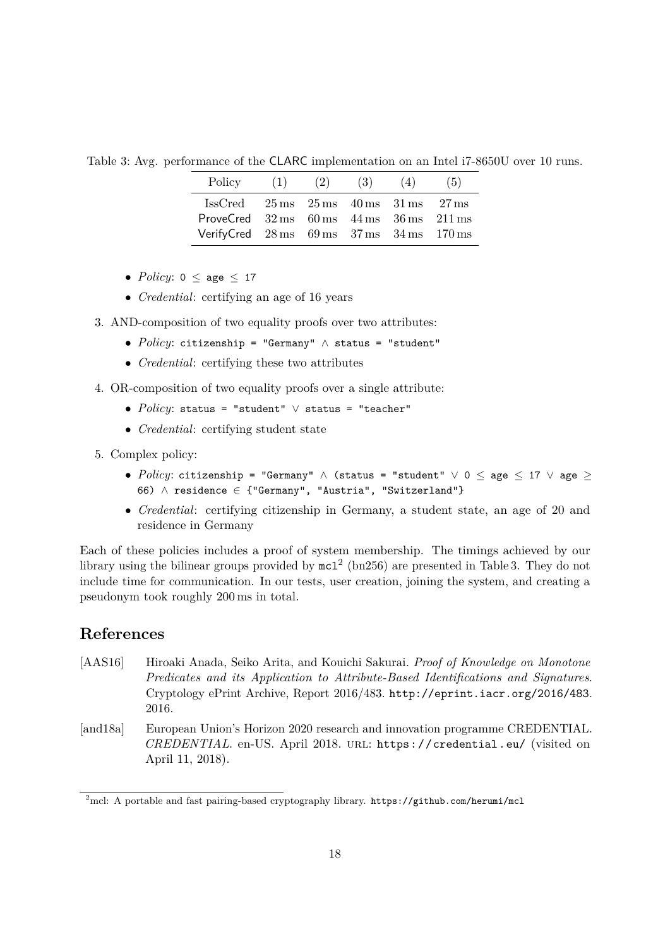<span id="page-17-3"></span>Table 3: Avg. performance of the CLARC implementation on an Intel i7-8650U over 10 runs.

| Policy $(1)$ $(2)$                                                                                    |  | (3) | (4) | (5) |
|-------------------------------------------------------------------------------------------------------|--|-----|-----|-----|
| $\text{IssCred}$ $25 \,\text{ms}$ $25 \,\text{ms}$ $40 \,\text{ms}$ $31 \,\text{ms}$ $27 \,\text{ms}$ |  |     |     |     |
| ProveCred $32 \text{ ms}$ $60 \text{ ms}$ $44 \text{ ms}$ $36 \text{ ms}$ $211 \text{ ms}$            |  |     |     |     |
| VerifyCred $28 \text{ ms}$ $69 \text{ ms}$ $37 \text{ ms}$ $34 \text{ ms}$ $170 \text{ ms}$           |  |     |     |     |

- *Policy*:  $0 \leq age \leq 17$
- *Credential*: certifying an age of 16 years
- 3. AND-composition of two equality proofs over two attributes:
	- *Policy*: citizenship = "Germany" ∧ status = "student"
	- *Credential*: certifying these two attributes
- 4. OR-composition of two equality proofs over a single attribute:
	- *Policy*: status = "student" ∨ status = "teacher"
	- *Credential*: certifying student state
- 5. Complex policy:
	- *Policy*: citizenship = "Germany" ∧ (status = "student" ∨ 0 ≤ age ≤ 17 ∨ age ≥ 66) ∧ residence ∈ {"Germany", "Austria", "Switzerland"}
	- *Credential*: certifying citizenship in Germany, a student state, an age of 20 and residence in Germany

Each of these policies includes a proof of system membership. The timings achieved by our library using the bilinear groups provided by  $mcl^2$  $mcl^2$  (bn256) are presented in Table [3.](#page-17-3) They do not include time for communication. In our tests, user creation, joining the system, and creating a pseudonym took roughly 200 ms in total.

# **References**

- <span id="page-17-1"></span>[AAS16] Hiroaki Anada, Seiko Arita, and Kouichi Sakurai. *Proof of Knowledge on Monotone Predicates and its Application to Attribute-Based Identifications and Signatures*. Cryptology ePrint Archive, Report 2016/483. <http://eprint.iacr.org/2016/483>. 2016.
- <span id="page-17-0"></span>[and18a] European Union's Horizon 2020 research and innovation programme CREDENTIAL. *CREDENTIAL*. en-US. April 2018. url: <https://credential.eu/> (visited on April 11, 2018).

<span id="page-17-2"></span> $2$ mcl: A portable and fast pairing-based cryptography library. <https://github.com/herumi/mcl>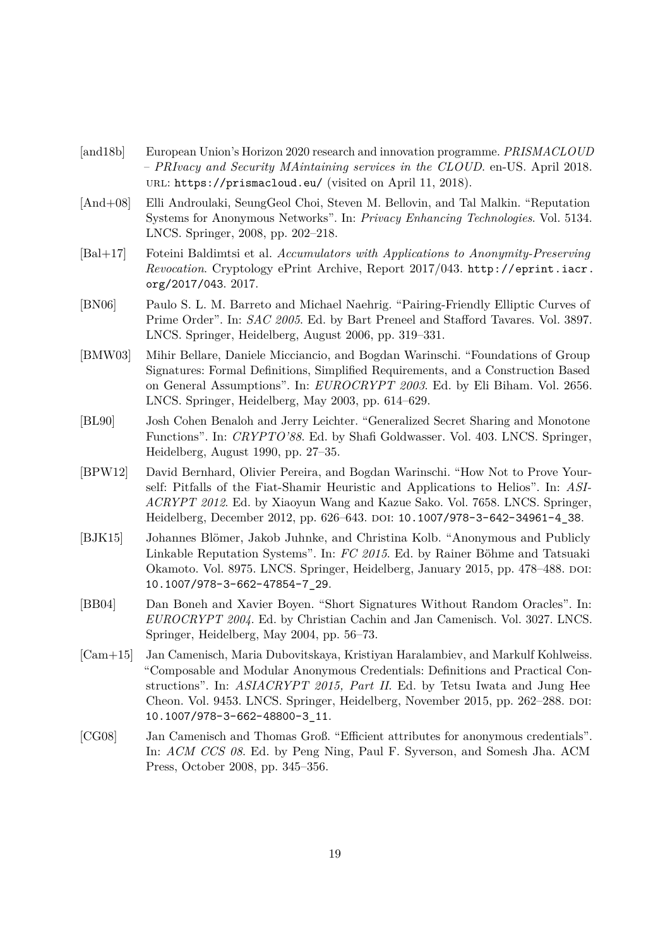- <span id="page-18-2"></span>[and18b] European Union's Horizon 2020 research and innovation programme. *PRISMACLOUD – PRIvacy and Security MAintaining services in the CLOUD*. en-US. April 2018. URL: <https://prismacloud.eu/> (visited on April 11, 2018).
- <span id="page-18-3"></span>[And+08] Elli Androulaki, SeungGeol Choi, Steven M. Bellovin, and Tal Malkin. "Reputation Systems for Anonymous Networks". In: *Privacy Enhancing Technologies*. Vol. 5134. LNCS. Springer, 2008, pp. 202–218.
- <span id="page-18-9"></span>[Bal+17] Foteini Baldimtsi et al. *Accumulators with Applications to Anonymity-Preserving Revocation*. Cryptology ePrint Archive, Report 2017/043. [http://eprint.iacr.](http://eprint.iacr.org/2017/043) [org/2017/043](http://eprint.iacr.org/2017/043). 2017.
- <span id="page-18-1"></span>[BN06] Paulo S. L. M. Barreto and Michael Naehrig. "Pairing-Friendly Elliptic Curves of Prime Order". In: *SAC 2005*. Ed. by Bart Preneel and Stafford Tavares. Vol. 3897. LNCS. Springer, Heidelberg, August 2006, pp. 319–331.
- <span id="page-18-8"></span>[BMW03] Mihir Bellare, Daniele Micciancio, and Bogdan Warinschi. "Foundations of Group Signatures: Formal Definitions, Simplified Requirements, and a Construction Based on General Assumptions". In: *EUROCRYPT 2003*. Ed. by Eli Biham. Vol. 2656. LNCS. Springer, Heidelberg, May 2003, pp. 614–629.
- <span id="page-18-10"></span>[BL90] Josh Cohen Benaloh and Jerry Leichter. "Generalized Secret Sharing and Monotone Functions". In: *CRYPTO'88*. Ed. by Shafi Goldwasser. Vol. 403. LNCS. Springer, Heidelberg, August 1990, pp. 27–35.
- <span id="page-18-5"></span>[BPW12] David Bernhard, Olivier Pereira, and Bogdan Warinschi. "How Not to Prove Yourself: Pitfalls of the Fiat-Shamir Heuristic and Applications to Helios". In: *ASI-ACRYPT 2012*. Ed. by Xiaoyun Wang and Kazue Sako. Vol. 7658. LNCS. Springer, Heidelberg, December 2012, pp. 626–643. doi: [10.1007/978-3-642-34961-4\\_38](https://doi.org/10.1007/978-3-642-34961-4_38).
- <span id="page-18-4"></span>[BJK15] Johannes Blömer, Jakob Juhnke, and Christina Kolb. "Anonymous and Publicly Linkable Reputation Systems". In: *FC 2015*. Ed. by Rainer Böhme and Tatsuaki Okamoto. Vol. 8975. LNCS. Springer, Heidelberg, January 2015, pp. 478–488. DOI: [10.1007/978-3-662-47854-7\\_29](https://doi.org/10.1007/978-3-662-47854-7_29).
- <span id="page-18-6"></span>[BB04] Dan Boneh and Xavier Boyen. "Short Signatures Without Random Oracles". In: *EUROCRYPT 2004*. Ed. by Christian Cachin and Jan Camenisch. Vol. 3027. LNCS. Springer, Heidelberg, May 2004, pp. 56–73.
- <span id="page-18-7"></span>[Cam+15] Jan Camenisch, Maria Dubovitskaya, Kristiyan Haralambiev, and Markulf Kohlweiss. "Composable and Modular Anonymous Credentials: Definitions and Practical Constructions". In: *ASIACRYPT 2015, Part II*. Ed. by Tetsu Iwata and Jung Hee Cheon. Vol. 9453. LNCS. Springer, Heidelberg, November 2015, pp. 262–288. doi: [10.1007/978-3-662-48800-3\\_11](https://doi.org/10.1007/978-3-662-48800-3_11).
- <span id="page-18-0"></span>[CG08] Jan Camenisch and Thomas Groß. "Efficient attributes for anonymous credentials". In: *ACM CCS 08*. Ed. by Peng Ning, Paul F. Syverson, and Somesh Jha. ACM Press, October 2008, pp. 345–356.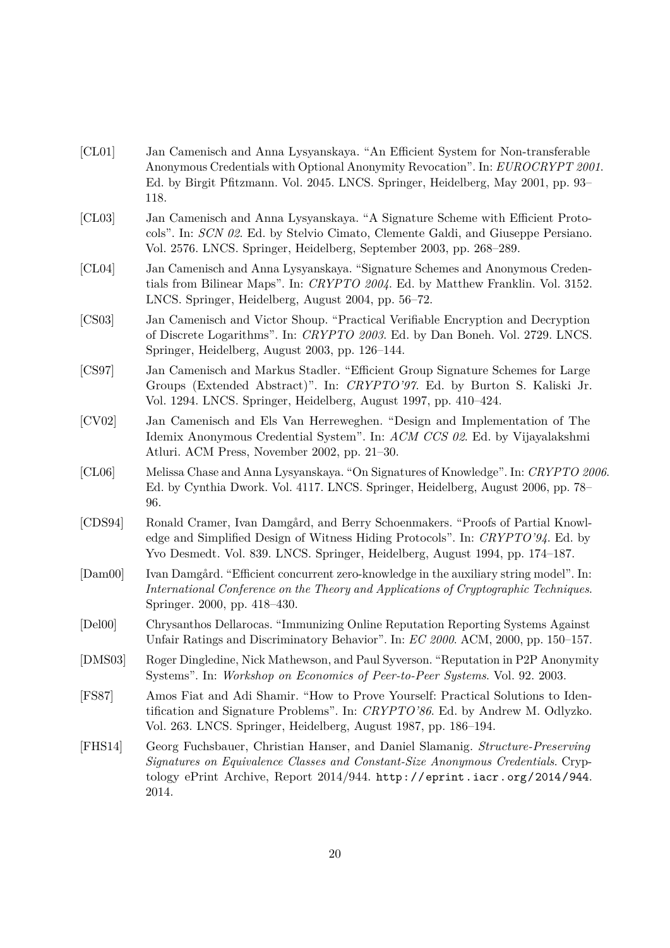<span id="page-19-12"></span><span id="page-19-11"></span><span id="page-19-10"></span><span id="page-19-9"></span><span id="page-19-8"></span><span id="page-19-7"></span><span id="page-19-6"></span><span id="page-19-5"></span><span id="page-19-4"></span><span id="page-19-3"></span><span id="page-19-2"></span><span id="page-19-1"></span><span id="page-19-0"></span>

| [CL01]          | Jan Camenisch and Anna Lysyanskaya. "An Efficient System for Non-transferable<br>Anonymous Credentials with Optional Anonymity Revocation". In: EUROCRYPT 2001.<br>Ed. by Birgit Pfitzmann. Vol. 2045. LNCS. Springer, Heidelberg, May 2001, pp. 93-<br>118. |
|-----------------|--------------------------------------------------------------------------------------------------------------------------------------------------------------------------------------------------------------------------------------------------------------|
| [CL03]          | Jan Camenisch and Anna Lysyanskaya. "A Signature Scheme with Efficient Proto-<br>cols". In: SCN 02. Ed. by Stelvio Cimato, Clemente Galdi, and Giuseppe Persiano.<br>Vol. 2576. LNCS. Springer, Heidelberg, September 2003, pp. 268–289.                     |
| [CL04]          | Jan Camenisch and Anna Lysyanskaya. "Signature Schemes and Anonymous Creden-<br>tials from Bilinear Maps". In: CRYPTO 2004. Ed. by Matthew Franklin. Vol. 3152.<br>LNCS. Springer, Heidelberg, August 2004, pp. 56–72.                                       |
| [CS03]          | Jan Camenisch and Victor Shoup. "Practical Verifiable Encryption and Decryption<br>of Discrete Logarithms". In: CRYPTO 2003. Ed. by Dan Boneh. Vol. 2729. LNCS.<br>Springer, Heidelberg, August 2003, pp. 126–144.                                           |
| [CS97]          | Jan Camenisch and Markus Stadler. "Efficient Group Signature Schemes for Large<br>Groups (Extended Abstract)". In: CRYPTO'97. Ed. by Burton S. Kaliski Jr.<br>Vol. 1294. LNCS. Springer, Heidelberg, August 1997, pp. 410–424.                               |
| [CV02]          | Jan Camenisch and Els Van Herreweghen. "Design and Implementation of The<br>Idemix Anonymous Credential System". In: ACM CCS 02. Ed. by Vijayalakshmi<br>Atluri. ACM Press, November 2002, pp. 21–30.                                                        |
| [CL06]          | Melissa Chase and Anna Lysyanskaya. "On Signatures of Knowledge". In: CRYPTO 2006.<br>Ed. by Cynthia Dwork. Vol. 4117. LNCS. Springer, Heidelberg, August 2006, pp. 78–<br>96.                                                                               |
| [CDS94]         | Ronald Cramer, Ivan Damgård, and Berry Schoenmakers. "Proofs of Partial Knowl-<br>edge and Simplified Design of Witness Hiding Protocols". In: CRYPTO'94. Ed. by<br>Yvo Desmedt. Vol. 839. LNCS. Springer, Heidelberg, August 1994, pp. 174–187.             |
| $[{\rm Dam}00]$ | Ivan Damgård. "Efficient concurrent zero-knowledge in the auxiliary string model". In:<br>International Conference on the Theory and Applications of Cryptographic Techniques.<br>Springer. 2000, pp. 418-430.                                               |
| [Del00]         | Chrysanthos Dellarocas. "Immunizing Online Reputation Reporting Systems Against<br>Unfair Ratings and Discriminatory Behavior". In: EC 2000. ACM, 2000, pp. 150-157.                                                                                         |
| [DMS03]         | Roger Dingledine, Nick Mathewson, and Paul Syverson. "Reputation in P2P Anonymity<br>Systems". In: Workshop on Economics of Peer-to-Peer Systems. Vol. 92. 2003.                                                                                             |
| [FS87]          | Amos Fiat and Adi Shamir. "How to Prove Yourself: Practical Solutions to Iden-<br>tification and Signature Problems". In: CRYPTO'86. Ed. by Andrew M. Odlyzko.<br>Vol. 263. LNCS. Springer, Heidelberg, August 1987, pp. 186–194.                            |
| [FHS14]         | Georg Fuchsbauer, Christian Hanser, and Daniel Slamanig. Structure-Preserving<br>Signatures on Equivalence Classes and Constant-Size Anonymous Credentials. Cryp-<br>tology ePrint Archive, Report 2014/944. http://eprint.iacr.org/2014/944.<br>2014.       |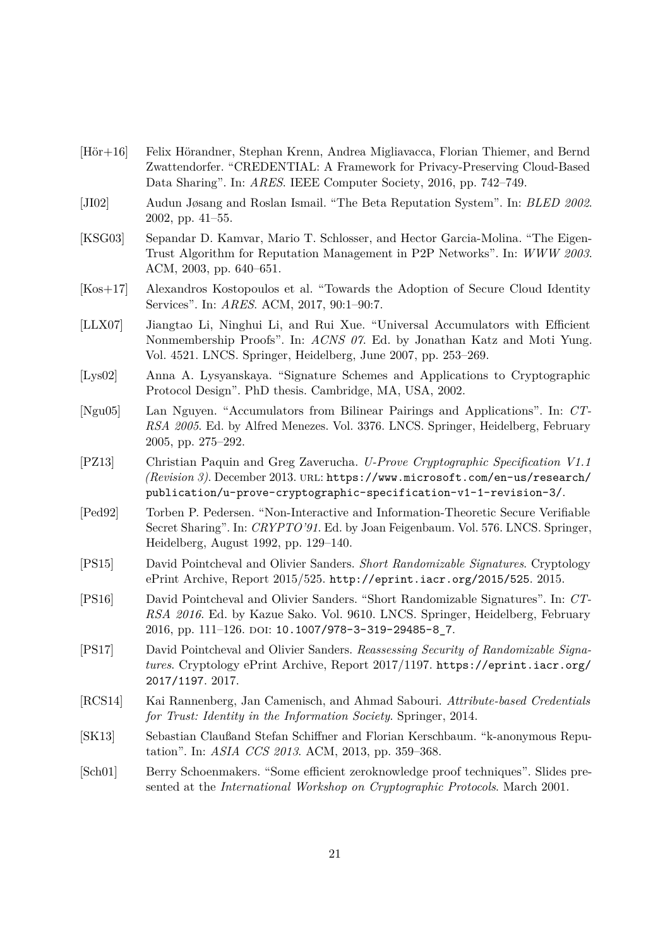- <span id="page-20-5"></span>[Hör+16] Felix Hörandner, Stephan Krenn, Andrea Migliavacca, Florian Thiemer, and Bernd Zwattendorfer. "CREDENTIAL: A Framework for Privacy-Preserving Cloud-Based Data Sharing". In: *ARES*. IEEE Computer Society, 2016, pp. 742–749.
- <span id="page-20-8"></span>[JI02] Audun Jøsang and Roslan Ismail. "The Beta Reputation System". In: *BLED 2002*. 2002, pp. 41–55.
- <span id="page-20-9"></span>[KSG03] Sepandar D. Kamvar, Mario T. Schlosser, and Hector Garcia-Molina. "The Eigen-Trust Algorithm for Reputation Management in P2P Networks". In: *WWW 2003*. ACM, 2003, pp. 640–651.
- <span id="page-20-6"></span>[Kos+17] Alexandros Kostopoulos et al. "Towards the Adoption of Secure Cloud Identity Services". In: *ARES*. ACM, 2017, 90:1–90:7.
- <span id="page-20-13"></span>[LLX07] Jiangtao Li, Ninghui Li, and Rui Xue. "Universal Accumulators with Efficient Nonmembership Proofs". In: *ACNS 07*. Ed. by Jonathan Katz and Moti Yung. Vol. 4521. LNCS. Springer, Heidelberg, June 2007, pp. 253–269.
- <span id="page-20-0"></span>[Lys02] Anna A. Lysyanskaya. "Signature Schemes and Applications to Cryptographic Protocol Design". PhD thesis. Cambridge, MA, USA, 2002.
- <span id="page-20-11"></span>[Ngu05] Lan Nguyen. "Accumulators from Bilinear Pairings and Applications". In: *CT-RSA 2005*. Ed. by Alfred Menezes. Vol. 3376. LNCS. Springer, Heidelberg, February 2005, pp. 275–292.
- <span id="page-20-2"></span>[PZ13] Christian Paquin and Greg Zaverucha. *U-Prove Cryptographic Specification V1.1 (Revision 3)*. December 2013. url: [https://www.microsoft.com/en-us/research/](https://www.microsoft.com/en-us/research/publication/u-prove-cryptographic-specification-v1-1-revision-3/) [publication/u-prove-cryptographic-specification-v1-1-revision-3/](https://www.microsoft.com/en-us/research/publication/u-prove-cryptographic-specification-v1-1-revision-3/).
- <span id="page-20-10"></span>[Ped92] Torben P. Pedersen. "Non-Interactive and Information-Theoretic Secure Verifiable Secret Sharing". In: *CRYPTO'91*. Ed. by Joan Feigenbaum. Vol. 576. LNCS. Springer, Heidelberg, August 1992, pp. 129–140.
- <span id="page-20-12"></span>[PS15] David Pointcheval and Olivier Sanders. *Short Randomizable Signatures*. Cryptology ePrint Archive, Report 2015/525. <http://eprint.iacr.org/2015/525>. 2015.
- <span id="page-20-1"></span>[PS16] David Pointcheval and Olivier Sanders. "Short Randomizable Signatures". In: *CT-RSA 2016*. Ed. by Kazue Sako. Vol. 9610. LNCS. Springer, Heidelberg, February 2016, pp. 111-126. doi: [10.1007/978-3-319-29485-8\\_7](https://doi.org/10.1007/978-3-319-29485-8_7).
- <span id="page-20-4"></span>[PS17] David Pointcheval and Olivier Sanders. *Reassessing Security of Randomizable Signatures*. Cryptology ePrint Archive, Report 2017/1197. [https://eprint.iacr.org/](https://eprint.iacr.org/2017/1197) [2017/1197](https://eprint.iacr.org/2017/1197). 2017.
- <span id="page-20-3"></span>[RCS14] Kai Rannenberg, Jan Camenisch, and Ahmad Sabouri. *Attribute-based Credentials for Trust: Identity in the Information Society*. Springer, 2014.
- <span id="page-20-7"></span>[SK13] Sebastian Claußand Stefan Schiffner and Florian Kerschbaum. "k-anonymous Reputation". In: *ASIA CCS 2013*. ACM, 2013, pp. 359–368.
- <span id="page-20-14"></span>[Sch01] Berry Schoenmakers. "Some efficient zeroknowledge proof techniques". Slides presented at the *International Workshop on Cryptographic Protocols*. March 2001.